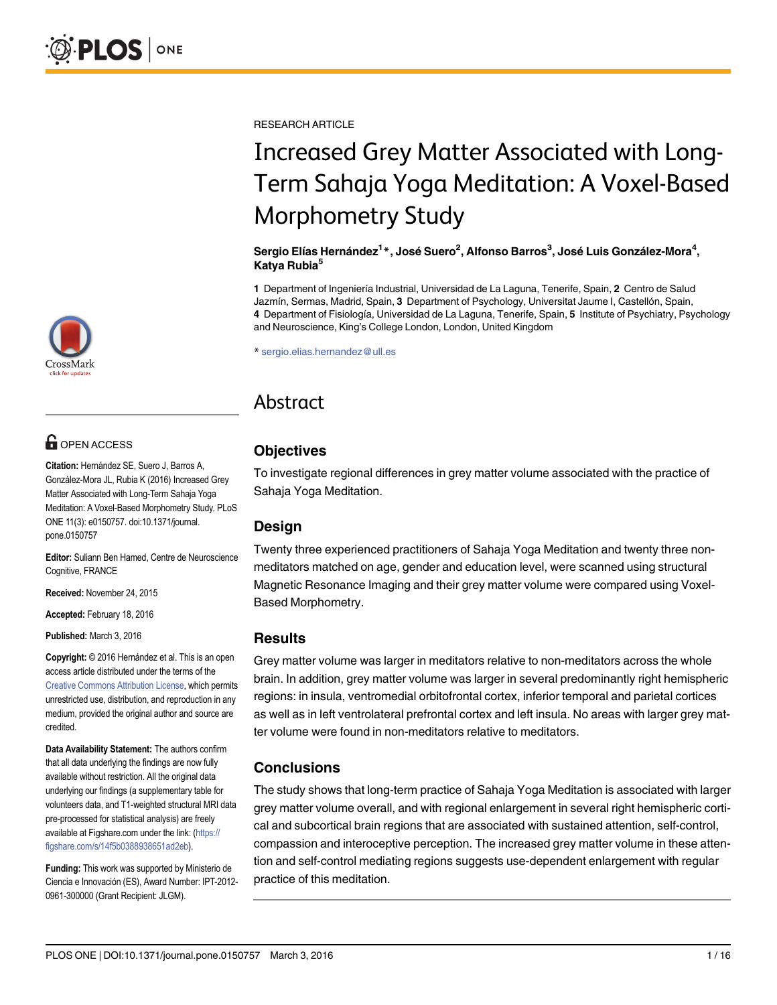

# **OPEN ACCESS**

Citation: Hernández SE, Suero J, Barros A, González-Mora JL, Rubia K (2016) Increased Grey Matter Associated with Long-Term Sahaja Yoga Meditation: A Voxel-Based Morphometry Study. PLoS ONE 11(3): e0150757. doi:10.1371/journal. pone.0150757

Editor: Suliann Ben Hamed, Centre de Neuroscience Cognitive, FRANCE

Received: November 24, 2015

Accepted: February 18, 2016

Published: March 3, 2016

Copyright: © 2016 Hernández et al. This is an open access article distributed under the terms of the [Creative Commons Attribution License,](http://creativecommons.org/licenses/by/4.0/) which permits unrestricted use, distribution, and reproduction in any medium, provided the original author and source are credited.

Data Availability Statement: The authors confirm that all data underlying the findings are now fully available without restriction. All the original data underlying our findings (a supplementary table for volunteers data, and T1-weighted structural MRI data pre-processed for statistical analysis) are freely available at Figshare.com under the link: [\(https://](https://figshare.com/s/14f5b0388938651ad2eb) [figshare.com/s/14f5b0388938651ad2eb](https://figshare.com/s/14f5b0388938651ad2eb)).

Funding: This work was supported by Ministerio de Ciencia e Innovación (ES), Award Number: IPT-2012- 0961-300000 (Grant Recipient: JLGM).

RESEARCH ARTICLE

# Increased Grey Matter Associated with Long-Term Sahaja Yoga Meditation: A Voxel-Based Morphometry Study

#### Sergio Elías Hernández<sup>1</sup>\*, José Suero<sup>2</sup>, Alfonso Barros<sup>3</sup>, José Luis González-Mora<sup>4</sup>, Katya Rubia<sup>5</sup>

1 Department of Ingeniería Industrial, Universidad de La Laguna, Tenerife, Spain, 2 Centro de Salud Jazmín, Sermas, Madrid, Spain, 3 Department of Psychology, Universitat Jaume I, Castellón, Spain, 4 Department of Fisiología, Universidad de La Laguna, Tenerife, Spain, 5 Institute of Psychiatry, Psychology and Neuroscience, King's College London, London, United Kingdom

\* sergio.elias.hernandez@ull.es

## Abstract

### **Objectives**

To investigate regional differences in grey matter volume associated with the practice of Sahaja Yoga Meditation.

#### Design

Twenty three experienced practitioners of Sahaja Yoga Meditation and twenty three nonmeditators matched on age, gender and education level, were scanned using structural Magnetic Resonance Imaging and their grey matter volume were compared using Voxel-Based Morphometry.

#### **Results**

Grey matter volume was larger in meditators relative to non-meditators across the whole brain. In addition, grey matter volume was larger in several predominantly right hemispheric regions: in insula, ventromedial orbitofrontal cortex, inferior temporal and parietal cortices as well as in left ventrolateral prefrontal cortex and left insula. No areas with larger grey matter volume were found in non-meditators relative to meditators.

## **Conclusions**

The study shows that long-term practice of Sahaja Yoga Meditation is associated with larger grey matter volume overall, and with regional enlargement in several right hemispheric cortical and subcortical brain regions that are associated with sustained attention, self-control, compassion and interoceptive perception. The increased grey matter volume in these attention and self-control mediating regions suggests use-dependent enlargement with regular practice of this meditation.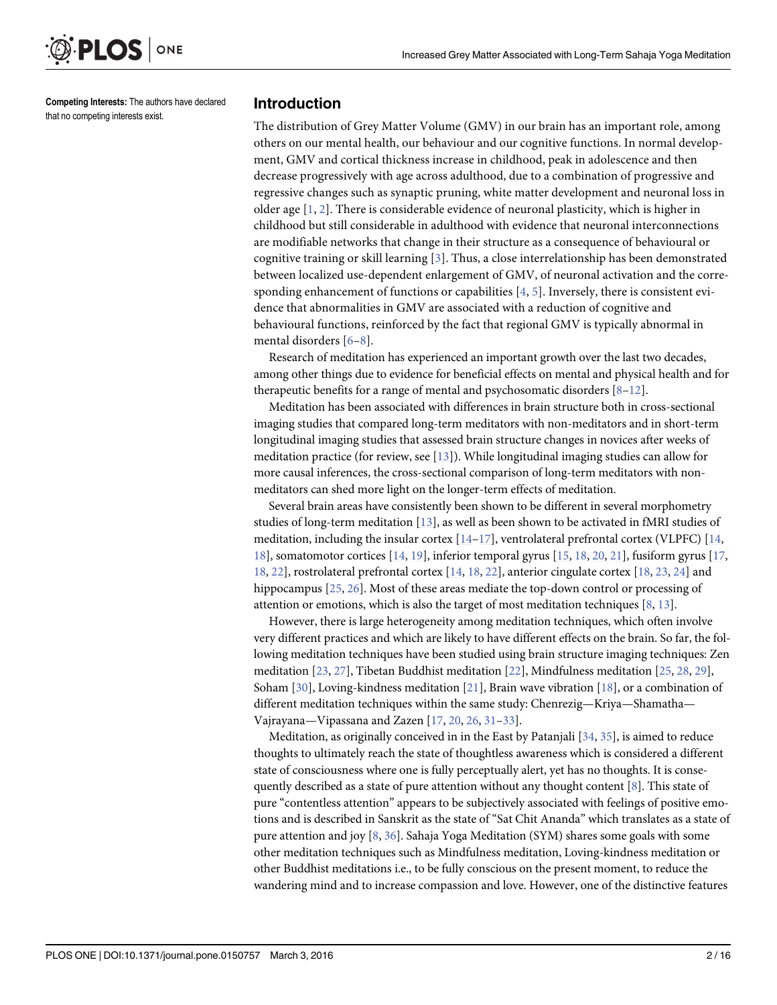Competing Interests: The authors have declared that no competing interests exist.

ONE

<span id="page-1-0"></span>**PLOS** I

#### Introduction

The distribution of Grey Matter Volume (GMV) in our brain has an important role, among others on our mental health, our behaviour and our cognitive functions. In normal development, GMV and cortical thickness increase in childhood, peak in adolescence and then decrease progressively with age across adulthood, due to a combination of progressive and regressive changes such as synaptic pruning, white matter development and neuronal loss in older age [\[1](#page-10-0), [2\]](#page-10-0). There is considerable evidence of neuronal plasticity, which is higher in childhood but still considerable in adulthood with evidence that neuronal interconnections are modifiable networks that change in their structure as a consequence of behavioural or cognitive training or skill learning [[3\]](#page-10-0). Thus, a close interrelationship has been demonstrated between localized use-dependent enlargement of GMV, of neuronal activation and the corresponding enhancement of functions or capabilities  $[4, 5]$  $[4, 5]$  $[4, 5]$  $[4, 5]$  $[4, 5]$ . Inversely, there is consistent evidence that abnormalities in GMV are associated with a reduction of cognitive and behavioural functions, reinforced by the fact that regional GMV is typically abnormal in mental disorders  $[6-8]$  $[6-8]$  $[6-8]$  $[6-8]$ .

Research of meditation has experienced an important growth over the last two decades, among other things due to evidence for beneficial effects on mental and physical health and for therapeutic benefits for a range of mental and psychosomatic disorders  $[8-12]$  $[8-12]$  $[8-12]$  $[8-12]$  $[8-12]$ .

Meditation has been associated with differences in brain structure both in cross-sectional imaging studies that compared long-term meditators with non-meditators and in short-term longitudinal imaging studies that assessed brain structure changes in novices after weeks of meditation practice (for review, see  $[13]$  $[13]$  $[13]$ ). While longitudinal imaging studies can allow for more causal inferences, the cross-sectional comparison of long-term meditators with nonmeditators can shed more light on the longer-term effects of meditation.

Several brain areas have consistently been shown to be different in several morphometry studies of long-term meditation  $[13]$ , as well as been shown to be activated in fMRI studies of meditation, including the insular cortex  $[14-17]$  $[14-17]$  $[14-17]$  $[14-17]$ , ventrolateral prefrontal cortex (VLPFC)  $[14, 16]$ [18\]](#page-11-0), somatomotor cortices [[14](#page-11-0), [19](#page-11-0)], inferior temporal gyrus [[15,](#page-11-0) [18,](#page-11-0) [20,](#page-11-0) [21\]](#page-11-0), fusiform gyrus [[17,](#page-11-0) [18,](#page-11-0) [22\]](#page-11-0), rostrolateral prefrontal cortex [[14](#page-11-0), [18](#page-11-0), [22](#page-11-0)], anterior cingulate cortex [[18](#page-11-0), [23](#page-11-0), [24](#page-11-0)] and hippocampus [[25](#page-11-0), [26](#page-11-0)]. Most of these areas mediate the top-down control or processing of attention or emotions, which is also the target of most meditation techniques  $[8, 13]$  $[8, 13]$  $[8, 13]$  $[8, 13]$ .

However, there is large heterogeneity among meditation techniques, which often involve very different practices and which are likely to have different effects on the brain. So far, the following meditation techniques have been studied using brain structure imaging techniques: Zen meditation [\[23,](#page-11-0) [27\]](#page-11-0), Tibetan Buddhist meditation [\[22\]](#page-11-0), Mindfulness meditation [[25](#page-11-0), [28](#page-11-0), [29](#page-12-0)], Soham [\[30\]](#page-12-0), Loving-kindness meditation [\[21\]](#page-11-0), Brain wave vibration [[18](#page-11-0)], or a combination of different meditation techniques within the same study: Chenrezig—Kriya—Shamatha— Vajrayana—Vipassana and Zazen [[17](#page-11-0), [20](#page-11-0), [26](#page-11-0), [31](#page-12-0)–[33\]](#page-12-0).

Meditation, as originally conceived in in the East by Patanjali  $[34, 35]$  $[34, 35]$  $[34, 35]$ , is aimed to reduce thoughts to ultimately reach the state of thoughtless awareness which is considered a different state of consciousness where one is fully perceptually alert, yet has no thoughts. It is consequently described as a state of pure attention without any thought content  $[8]$  $[8]$  $[8]$ . This state of pure "contentless attention" appears to be subjectively associated with feelings of positive emotions and is described in Sanskrit as the state of "Sat Chit Ananda" which translates as a state of pure attention and joy [[8](#page-10-0), [36](#page-12-0)]. Sahaja Yoga Meditation (SYM) shares some goals with some other meditation techniques such as Mindfulness meditation, Loving-kindness meditation or other Buddhist meditations i.e., to be fully conscious on the present moment, to reduce the wandering mind and to increase compassion and love. However, one of the distinctive features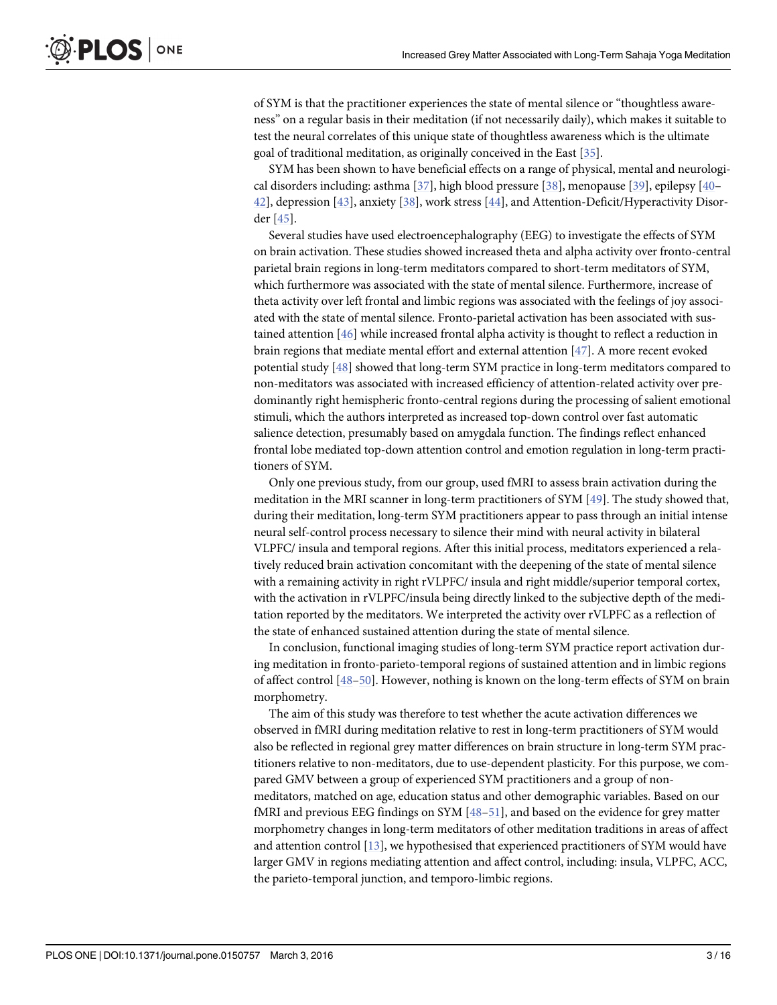<span id="page-2-0"></span>of SYM is that the practitioner experiences the state of mental silence or "thoughtless awareness" on a regular basis in their meditation (if not necessarily daily), which makes it suitable to test the neural correlates of this unique state of thoughtless awareness which is the ultimate goal of traditional meditation, as originally conceived in the East [\[35\]](#page-12-0).

SYM has been shown to have beneficial effects on a range of physical, mental and neurologi-cal disorders including: asthma [[37\]](#page-12-0), high blood pressure [\[38\]](#page-12-0), menopause [[39](#page-12-0)], epilepsy [[40](#page-12-0)– [42\]](#page-12-0), depression [[43](#page-12-0)], anxiety [[38](#page-12-0)], work stress [\[44\]](#page-12-0), and Attention-Deficit/Hyperactivity Disorder [[45](#page-12-0)].

Several studies have used electroencephalography (EEG) to investigate the effects of SYM on brain activation. These studies showed increased theta and alpha activity over fronto-central parietal brain regions in long-term meditators compared to short-term meditators of SYM, which furthermore was associated with the state of mental silence. Furthermore, increase of theta activity over left frontal and limbic regions was associated with the feelings of joy associated with the state of mental silence. Fronto-parietal activation has been associated with sustained attention [[46](#page-12-0)] while increased frontal alpha activity is thought to reflect a reduction in brain regions that mediate mental effort and external attention [\[47\]](#page-12-0). A more recent evoked potential study [[48](#page-12-0)] showed that long-term SYM practice in long-term meditators compared to non-meditators was associated with increased efficiency of attention-related activity over predominantly right hemispheric fronto-central regions during the processing of salient emotional stimuli, which the authors interpreted as increased top-down control over fast automatic salience detection, presumably based on amygdala function. The findings reflect enhanced frontal lobe mediated top-down attention control and emotion regulation in long-term practitioners of SYM.

Only one previous study, from our group, used fMRI to assess brain activation during the meditation in the MRI scanner in long-term practitioners of SYM [\[49\]](#page-13-0). The study showed that, during their meditation, long-term SYM practitioners appear to pass through an initial intense neural self-control process necessary to silence their mind with neural activity in bilateral VLPFC/ insula and temporal regions. After this initial process, meditators experienced a relatively reduced brain activation concomitant with the deepening of the state of mental silence with a remaining activity in right rVLPFC/ insula and right middle/superior temporal cortex, with the activation in rVLPFC/insula being directly linked to the subjective depth of the meditation reported by the meditators. We interpreted the activity over rVLPFC as a reflection of the state of enhanced sustained attention during the state of mental silence.

In conclusion, functional imaging studies of long-term SYM practice report activation during meditation in fronto-parieto-temporal regions of sustained attention and in limbic regions of affect control [\[48](#page-12-0)–[50\]](#page-13-0). However, nothing is known on the long-term effects of SYM on brain morphometry.

The aim of this study was therefore to test whether the acute activation differences we observed in fMRI during meditation relative to rest in long-term practitioners of SYM would also be reflected in regional grey matter differences on brain structure in long-term SYM practitioners relative to non-meditators, due to use-dependent plasticity. For this purpose, we compared GMV between a group of experienced SYM practitioners and a group of nonmeditators, matched on age, education status and other demographic variables. Based on our fMRI and previous EEG findings on SYM  $[48-51]$  $[48-51]$  $[48-51]$ , and based on the evidence for grey matter morphometry changes in long-term meditators of other meditation traditions in areas of affect and attention control [[13\]](#page-11-0), we hypothesised that experienced practitioners of SYM would have larger GMV in regions mediating attention and affect control, including: insula, VLPFC, ACC, the parieto-temporal junction, and temporo-limbic regions.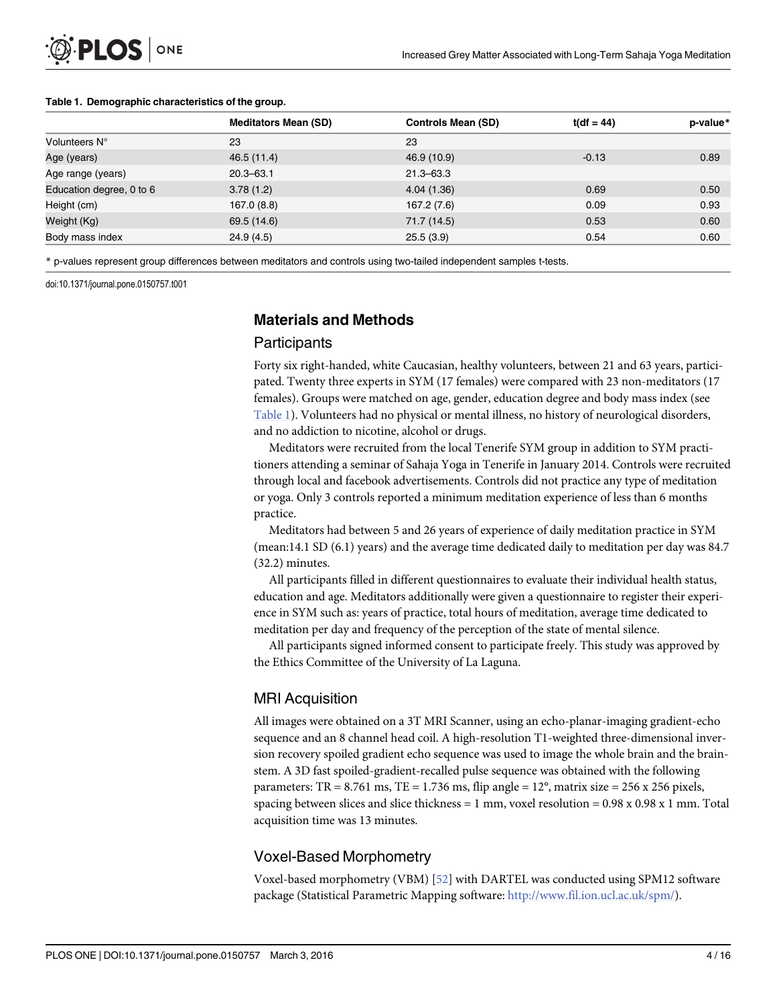#### <span id="page-3-0"></span>Table 1. Demographic characteristics of the group.

|                          | <b>Meditators Mean (SD)</b> | <b>Controls Mean (SD)</b> | $t(df = 44)$ | p-value* |  |
|--------------------------|-----------------------------|---------------------------|--------------|----------|--|
| Volunteers N°            | 23                          | 23                        |              |          |  |
| Age (years)              | 46.5 (11.4)                 | 46.9 (10.9)               | $-0.13$      | 0.89     |  |
| Age range (years)        | $20.3 - 63.1$               | $21.3 - 63.3$             |              |          |  |
| Education degree, 0 to 6 | 3.78(1.2)                   | 4.04(1.36)                | 0.69         | 0.50     |  |
| Height (cm)              | 167.0 (8.8)                 | 167.2 (7.6)               | 0.09         | 0.93     |  |
| Weight (Kg)              | 69.5 (14.6)                 | 71.7 (14.5)               | 0.53         | 0.60     |  |
| Body mass index          | 24.9(4.5)                   | 25.5(3.9)                 | 0.54         | 0.60     |  |

\* p-values represent group differences between meditators and controls using two-tailed independent samples t-tests.

doi:10.1371/journal.pone.0150757.t001

#### Materials and Methods

#### **Participants**

Forty six right-handed, white Caucasian, healthy volunteers, between 21 and 63 years, participated. Twenty three experts in SYM (17 females) were compared with 23 non-meditators (17 females). Groups were matched on age, gender, education degree and body mass index (see Table 1). Volunteers had no physical or mental illness, no history of neurological disorders, and no addiction to nicotine, alcohol or drugs.

Meditators were recruited from the local Tenerife SYM group in addition to SYM practitioners attending a seminar of Sahaja Yoga in Tenerife in January 2014. Controls were recruited through local and facebook advertisements. Controls did not practice any type of meditation or yoga. Only 3 controls reported a minimum meditation experience of less than 6 months practice.

Meditators had between 5 and 26 years of experience of daily meditation practice in SYM (mean:14.1 SD (6.1) years) and the average time dedicated daily to meditation per day was 84.7 (32.2) minutes.

All participants filled in different questionnaires to evaluate their individual health status, education and age. Meditators additionally were given a questionnaire to register their experience in SYM such as: years of practice, total hours of meditation, average time dedicated to meditation per day and frequency of the perception of the state of mental silence.

All participants signed informed consent to participate freely. This study was approved by the Ethics Committee of the University of La Laguna.

#### MRI Acquisition

All images were obtained on a 3T MRI Scanner, using an echo-planar-imaging gradient-echo sequence and an 8 channel head coil. A high-resolution T1-weighted three-dimensional inversion recovery spoiled gradient echo sequence was used to image the whole brain and the brainstem. A 3D fast spoiled-gradient-recalled pulse sequence was obtained with the following parameters:  $TR = 8.761$  ms,  $TE = 1.736$  ms, flip angle =  $12^{\circ}$ , matrix size = 256 x 256 pixels, spacing between slices and slice thickness = 1 mm, voxel resolution =  $0.98 \times 0.98 \times 1$  mm. Total acquisition time was 13 minutes.

#### Voxel-Based Morphometry

Voxel-based morphometry (VBM) [[52](#page-13-0)] with DARTEL was conducted using SPM12 software package (Statistical Parametric Mapping software: [http://www.fil.ion.ucl.ac.uk/spm/\)](http://www.fil.ion.ucl.ac.uk/spm/).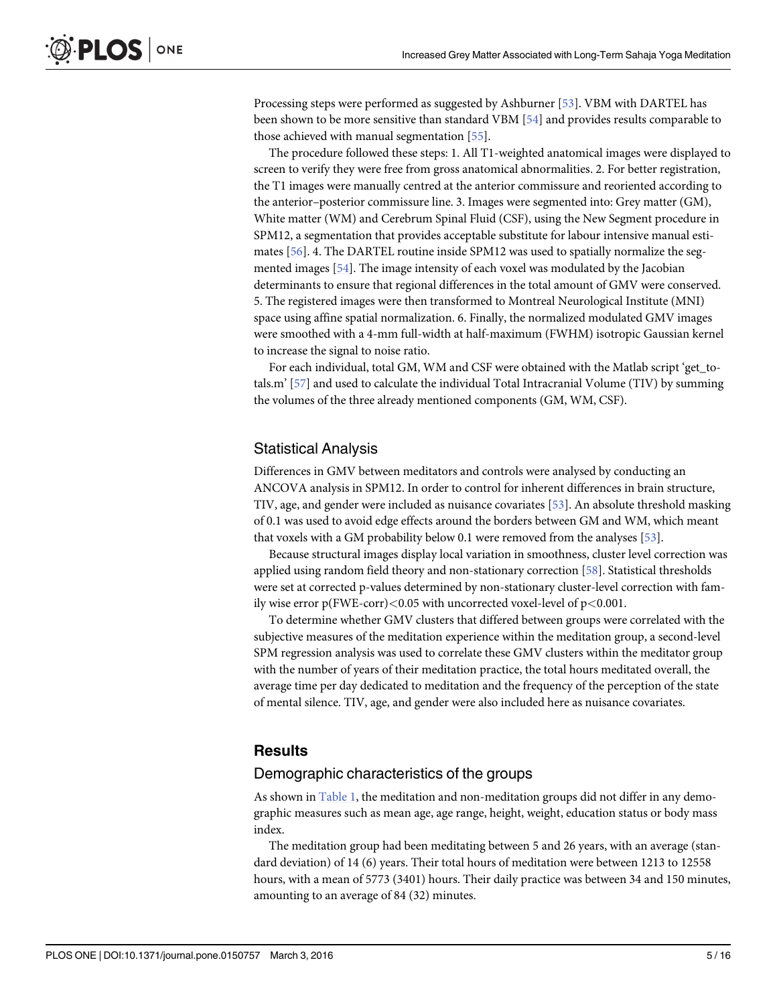<span id="page-4-0"></span>Processing steps were performed as suggested by Ashburner [\[53\]](#page-13-0). VBM with DARTEL has been shown to be more sensitive than standard VBM [[54\]](#page-13-0) and provides results comparable to those achieved with manual segmentation [[55](#page-13-0)].

The procedure followed these steps: 1. All T1-weighted anatomical images were displayed to screen to verify they were free from gross anatomical abnormalities. 2. For better registration, the T1 images were manually centred at the anterior commissure and reoriented according to the anterior–posterior commissure line. 3. Images were segmented into: Grey matter (GM), White matter (WM) and Cerebrum Spinal Fluid (CSF), using the New Segment procedure in SPM12, a segmentation that provides acceptable substitute for labour intensive manual estimates [\[56\]](#page-13-0). 4. The DARTEL routine inside SPM12 was used to spatially normalize the segmented images [\[54](#page-13-0)]. The image intensity of each voxel was modulated by the Jacobian determinants to ensure that regional differences in the total amount of GMV were conserved. 5. The registered images were then transformed to Montreal Neurological Institute (MNI) space using affine spatial normalization. 6. Finally, the normalized modulated GMV images were smoothed with a 4-mm full-width at half-maximum (FWHM) isotropic Gaussian kernel to increase the signal to noise ratio.

For each individual, total GM, WM and CSF were obtained with the Matlab script 'get\_totals.m'  $[57]$  $[57]$  $[57]$  and used to calculate the individual Total Intracranial Volume (TIV) by summing the volumes of the three already mentioned components (GM, WM, CSF).

#### Statistical Analysis

Differences in GMV between meditators and controls were analysed by conducting an ANCOVA analysis in SPM12. In order to control for inherent differences in brain structure, TIV, age, and gender were included as nuisance covariates [\[53\]](#page-13-0). An absolute threshold masking of 0.1 was used to avoid edge effects around the borders between GM and WM, which meant that voxels with a GM probability below 0.1 were removed from the analyses [[53](#page-13-0)].

Because structural images display local variation in smoothness, cluster level correction was applied using random field theory and non-stationary correction [[58](#page-13-0)]. Statistical thresholds were set at corrected p-values determined by non-stationary cluster-level correction with family wise error  $p(FWE-corr) < 0.05$  with uncorrected voxel-level of  $p < 0.001$ .

To determine whether GMV clusters that differed between groups were correlated with the subjective measures of the meditation experience within the meditation group, a second-level SPM regression analysis was used to correlate these GMV clusters within the meditator group with the number of years of their meditation practice, the total hours meditated overall, the average time per day dedicated to meditation and the frequency of the perception of the state of mental silence. TIV, age, and gender were also included here as nuisance covariates.

#### **Results**

#### Demographic characteristics of the groups

As shown in [Table 1,](#page-3-0) the meditation and non-meditation groups did not differ in any demographic measures such as mean age, age range, height, weight, education status or body mass index.

The meditation group had been meditating between 5 and 26 years, with an average (standard deviation) of 14 (6) years. Their total hours of meditation were between 1213 to 12558 hours, with a mean of 5773 (3401) hours. Their daily practice was between 34 and 150 minutes, amounting to an average of 84 (32) minutes.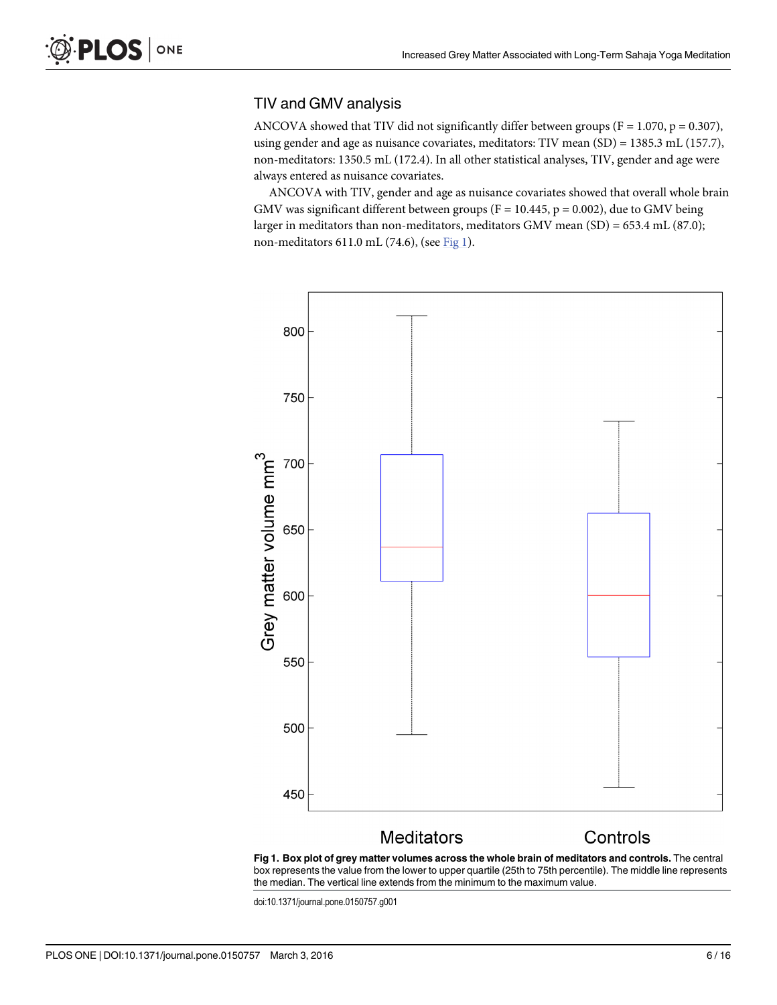#### TIV and GMV analysis

ANCOVA showed that TIV did not significantly differ between groups ( $F = 1.070$ ,  $p = 0.307$ ), using gender and age as nuisance covariates, meditators: TIV mean (SD) = 1385.3 mL (157.7), non-meditators: 1350.5 mL (172.4). In all other statistical analyses, TIV, gender and age were always entered as nuisance covariates.

ANCOVA with TIV, gender and age as nuisance covariates showed that overall whole brain GMV was significant different between groups (F =  $10.445$ , p =  $0.002$ ), due to GMV being larger in meditators than non-meditators, meditators GMV mean (SD) = 653.4 mL (87.0); non-meditators 611.0 mL (74.6), (see  $Fig 1$ ).



Fig 1. Box plot of grey matter volumes across the whole brain of meditators and controls. The central box represents the value from the lower to upper quartile (25th to 75th percentile). The middle line represents the median. The vertical line extends from the minimum to the maximum value.

doi:10.1371/journal.pone.0150757.g001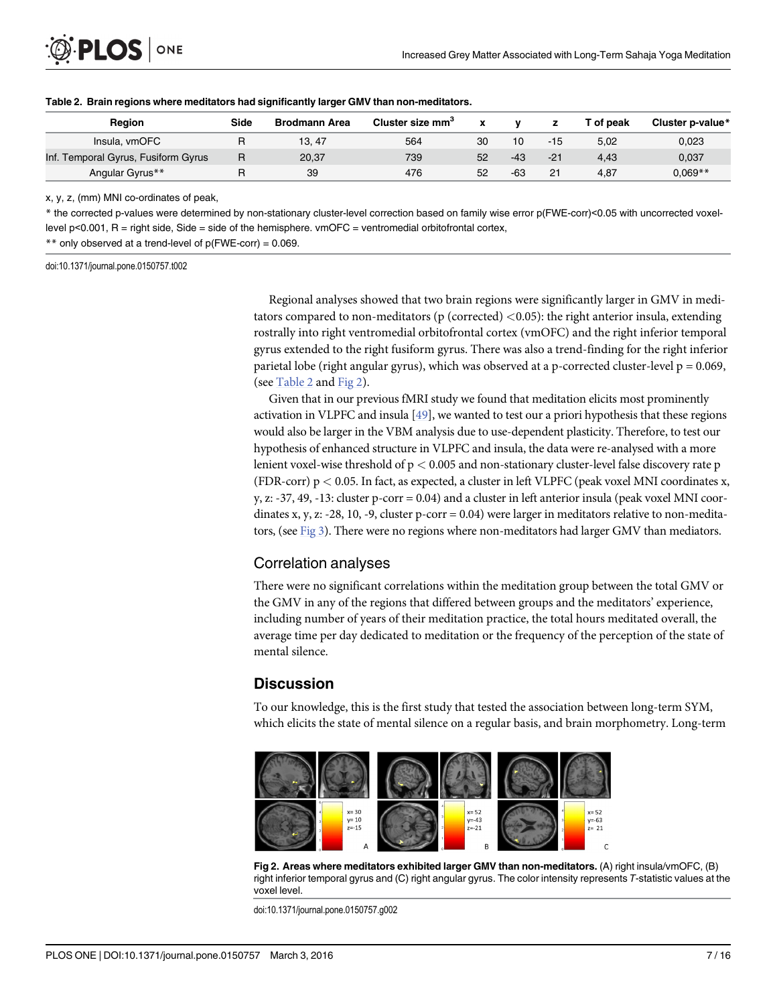| Region                              | Side | <b>Brodmann Area</b> | Cluster size mm <sup>3</sup> | x  | v   |       | T of peak | Cluster p-value* |
|-------------------------------------|------|----------------------|------------------------------|----|-----|-------|-----------|------------------|
| Insula, vmOFC                       |      | 13.47                | 564                          | 30 |     | $-15$ | 5.02      | 0,023            |
| Inf. Temporal Gyrus, Fusiform Gyrus | R    | 20,37                | 739                          | 52 | -43 | $-21$ | 4.43      | 0,037            |
| Angular Gyrus**                     |      | 39                   | 476                          | 52 | -63 | 21    | 4.87      | $0.069**$        |

#### <span id="page-6-0"></span>Table 2. Brain regions where meditators had significantly larger GMV than non-meditators.

x, y, z, (mm) MNI co-ordinates of peak,

\* the corrected p-values were determined by non-stationary cluster-level correction based on family wise error p(FWE-corr)<0.05 with uncorrected voxellevel  $p<0.001$ , R = right side, Side = side of the hemisphere. vmOFC = ventromedial orbitofrontal cortex,

\*\* only observed at a trend-level of  $p$ (FWE-corr) = 0.069.

doi:10.1371/journal.pone.0150757.t002

Regional analyses showed that two brain regions were significantly larger in GMV in meditators compared to non-meditators (p (corrected)  $<$  0.05): the right anterior insula, extending rostrally into right ventromedial orbitofrontal cortex (vmOFC) and the right inferior temporal gyrus extended to the right fusiform gyrus. There was also a trend-finding for the right inferior parietal lobe (right angular gyrus), which was observed at a p-corrected cluster-level  $p = 0.069$ , (see Table 2 and Fig 2).

Given that in our previous fMRI study we found that meditation elicits most prominently activation in VLPFC and insula  $[49]$  $[49]$  $[49]$ , we wanted to test our a priori hypothesis that these regions would also be larger in the VBM analysis due to use-dependent plasticity. Therefore, to test our hypothesis of enhanced structure in VLPFC and insula, the data were re-analysed with a more lenient voxel-wise threshold of  $p < 0.005$  and non-stationary cluster-level false discovery rate  $p$ (FDR-corr) p < 0.05. In fact, as expected, a cluster in left VLPFC (peak voxel MNI coordinates x, y, z: -37, 49, -13: cluster p-corr = 0.04) and a cluster in left anterior insula (peak voxel MNI coordinates x, y, z: -28, 10, -9, cluster  $p\text{-corr} = 0.04$ ) were larger in meditators relative to non-meditators, (see [Fig 3\)](#page-7-0). There were no regions where non-meditators had larger GMV than mediators.

#### Correlation analyses

There were no significant correlations within the meditation group between the total GMV or the GMV in any of the regions that differed between groups and the meditators' experience, including number of years of their meditation practice, the total hours meditated overall, the average time per day dedicated to meditation or the frequency of the perception of the state of mental silence.

#### **Discussion**

To our knowledge, this is the first study that tested the association between long-term SYM, which elicits the state of mental silence on a regular basis, and brain morphometry. Long-term



Fig 2. Areas where meditators exhibited larger GMV than non-meditators. (A) right insula/vmOFC, (B) right inferior temporal gyrus and (C) right angular gyrus. The color intensity represents T-statistic values at the voxel level.

doi:10.1371/journal.pone.0150757.g002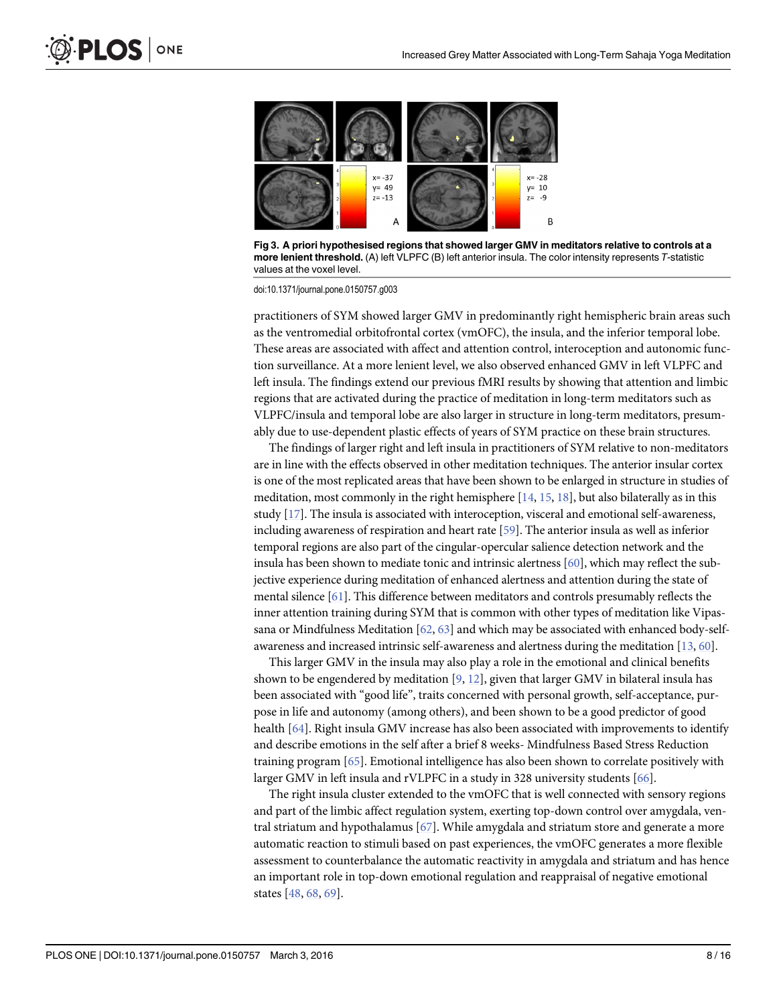

[Fig 3. A](#page-6-0) priori hypothesised regions that showed larger GMV in meditators relative to controls at a more lenient threshold. (A) left VLPFC (B) left anterior insula. The color intensity represents T-statistic values at the voxel level.

doi:10.1371/journal.pone.0150757.g003

practitioners of SYM showed larger GMV in predominantly right hemispheric brain areas such as the ventromedial orbitofrontal cortex (vmOFC), the insula, and the inferior temporal lobe. These areas are associated with affect and attention control, interoception and autonomic function surveillance. At a more lenient level, we also observed enhanced GMV in left VLPFC and left insula. The findings extend our previous fMRI results by showing that attention and limbic regions that are activated during the practice of meditation in long-term meditators such as VLPFC/insula and temporal lobe are also larger in structure in long-term meditators, presumably due to use-dependent plastic effects of years of SYM practice on these brain structures.

The findings of larger right and left insula in practitioners of SYM relative to non-meditators are in line with the effects observed in other meditation techniques. The anterior insular cortex is one of the most replicated areas that have been shown to be enlarged in structure in studies of meditation, most commonly in the right hemisphere  $[14, 15, 18]$  $[14, 15, 18]$  $[14, 15, 18]$  $[14, 15, 18]$  $[14, 15, 18]$  $[14, 15, 18]$ , but also bilaterally as in this study [\[17\]](#page-11-0). The insula is associated with interoception, visceral and emotional self-awareness, including awareness of respiration and heart rate [[59](#page-13-0)]. The anterior insula as well as inferior temporal regions are also part of the cingular-opercular salience detection network and the insula has been shown to mediate tonic and intrinsic alertness [[60](#page-13-0)], which may reflect the subjective experience during meditation of enhanced alertness and attention during the state of mental silence [\[61\]](#page-13-0). This difference between meditators and controls presumably reflects the inner attention training during SYM that is common with other types of meditation like Vipassana or Mindfulness Meditation  $[62, 63]$  $[62, 63]$  $[62, 63]$  and which may be associated with enhanced body-selfawareness and increased intrinsic self-awareness and alertness during the meditation [[13](#page-11-0), [60](#page-13-0)].

This larger GMV in the insula may also play a role in the emotional and clinical benefits shown to be engendered by meditation [\[9](#page-10-0), [12](#page-11-0)], given that larger GMV in bilateral insula has been associated with "good life", traits concerned with personal growth, self-acceptance, purpose in life and autonomy (among others), and been shown to be a good predictor of good health [\[64\]](#page-13-0). Right insula GMV increase has also been associated with improvements to identify and describe emotions in the self after a brief 8 weeks- Mindfulness Based Stress Reduction training program [\[65\]](#page-13-0). Emotional intelligence has also been shown to correlate positively with larger GMV in left insula and rVLPFC in a study in 328 university students [\[66\]](#page-13-0).

The right insula cluster extended to the vmOFC that is well connected with sensory regions and part of the limbic affect regulation system, exerting top-down control over amygdala, ventral striatum and hypothalamus [\[67\]](#page-13-0). While amygdala and striatum store and generate a more automatic reaction to stimuli based on past experiences, the vmOFC generates a more flexible assessment to counterbalance the automatic reactivity in amygdala and striatum and has hence an important role in top-down emotional regulation and reappraisal of negative emotional states [[48](#page-12-0), [68](#page-13-0), [69](#page-13-0)].

<span id="page-7-0"></span>PLOS ONE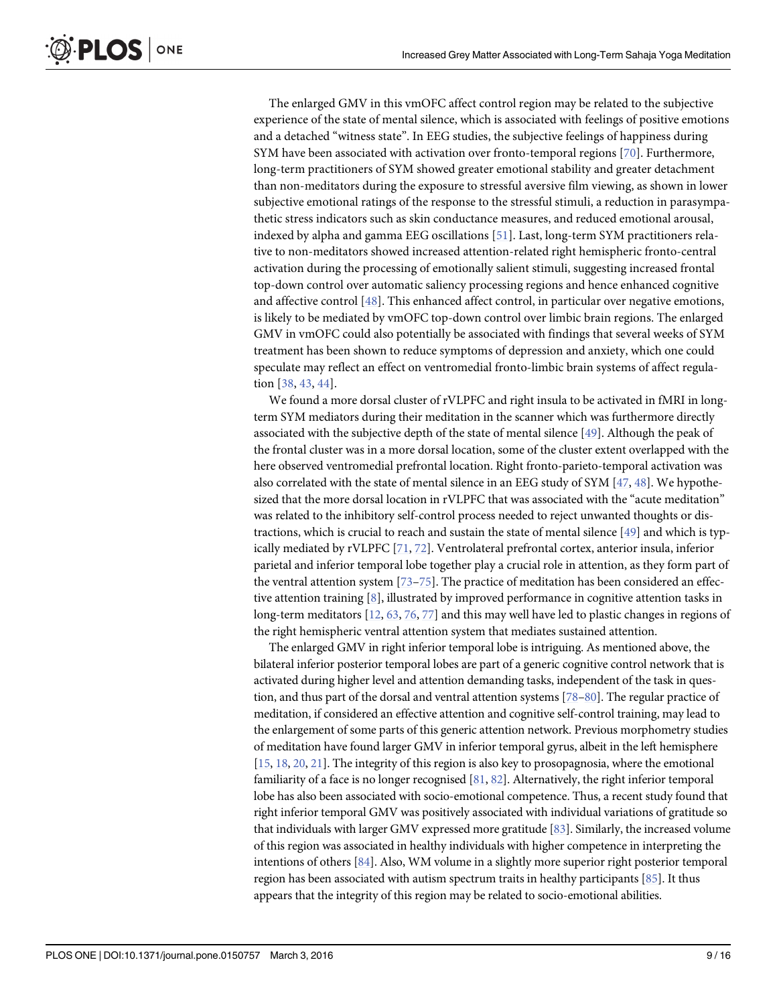<span id="page-8-0"></span>The enlarged GMV in this vmOFC affect control region may be related to the subjective experience of the state of mental silence, which is associated with feelings of positive emotions and a detached "witness state". In EEG studies, the subjective feelings of happiness during SYM have been associated with activation over fronto-temporal regions  $[70]$  $[70]$  $[70]$ . Furthermore, long-term practitioners of SYM showed greater emotional stability and greater detachment than non-meditators during the exposure to stressful aversive film viewing, as shown in lower subjective emotional ratings of the response to the stressful stimuli, a reduction in parasympathetic stress indicators such as skin conductance measures, and reduced emotional arousal, indexed by alpha and gamma EEG oscillations [\[51\]](#page-13-0). Last, long-term SYM practitioners relative to non-meditators showed increased attention-related right hemispheric fronto-central activation during the processing of emotionally salient stimuli, suggesting increased frontal top-down control over automatic saliency processing regions and hence enhanced cognitive and affective control [[48](#page-12-0)]. This enhanced affect control, in particular over negative emotions, is likely to be mediated by vmOFC top-down control over limbic brain regions. The enlarged GMV in vmOFC could also potentially be associated with findings that several weeks of SYM treatment has been shown to reduce symptoms of depression and anxiety, which one could speculate may reflect an effect on ventromedial fronto-limbic brain systems of affect regulation [[38,](#page-12-0) [43,](#page-12-0) [44\]](#page-12-0).

We found a more dorsal cluster of rVLPFC and right insula to be activated in fMRI in longterm SYM mediators during their meditation in the scanner which was furthermore directly associated with the subjective depth of the state of mental silence [\[49\]](#page-13-0). Although the peak of the frontal cluster was in a more dorsal location, some of the cluster extent overlapped with the here observed ventromedial prefrontal location. Right fronto-parieto-temporal activation was also correlated with the state of mental silence in an EEG study of SYM  $[47, 48]$  $[47, 48]$  $[47, 48]$ . We hypothesized that the more dorsal location in rVLPFC that was associated with the "acute meditation" was related to the inhibitory self-control process needed to reject unwanted thoughts or distractions, which is crucial to reach and sustain the state of mental silence [[49\]](#page-13-0) and which is typically mediated by rVLPFC [[71](#page-14-0), [72](#page-14-0)]. Ventrolateral prefrontal cortex, anterior insula, inferior parietal and inferior temporal lobe together play a crucial role in attention, as they form part of the ventral attention system [[73](#page-14-0)–[75](#page-14-0)]. The practice of meditation has been considered an effective attention training [\[8](#page-10-0)], illustrated by improved performance in cognitive attention tasks in long-term meditators [[12](#page-11-0), [63](#page-13-0), [76](#page-14-0), [77](#page-14-0)] and this may well have led to plastic changes in regions of the right hemispheric ventral attention system that mediates sustained attention.

The enlarged GMV in right inferior temporal lobe is intriguing. As mentioned above, the bilateral inferior posterior temporal lobes are part of a generic cognitive control network that is activated during higher level and attention demanding tasks, independent of the task in question, and thus part of the dorsal and ventral attention systems [\[78](#page-14-0)–[80](#page-14-0)]. The regular practice of meditation, if considered an effective attention and cognitive self-control training, may lead to the enlargement of some parts of this generic attention network. Previous morphometry studies of meditation have found larger GMV in inferior temporal gyrus, albeit in the left hemisphere [\[15,](#page-11-0) [18,](#page-11-0) [20,](#page-11-0) [21](#page-11-0)]. The integrity of this region is also key to prosopagnosia, where the emotional familiarity of a face is no longer recognised [\[81,](#page-14-0) [82](#page-14-0)]. Alternatively, the right inferior temporal lobe has also been associated with socio-emotional competence. Thus, a recent study found that right inferior temporal GMV was positively associated with individual variations of gratitude so that individuals with larger GMV expressed more gratitude [\[83](#page-14-0)]. Similarly, the increased volume of this region was associated in healthy individuals with higher competence in interpreting the intentions of others [\[84\]](#page-14-0). Also, WM volume in a slightly more superior right posterior temporal region has been associated with autism spectrum traits in healthy participants [[85](#page-14-0)]. It thus appears that the integrity of this region may be related to socio-emotional abilities.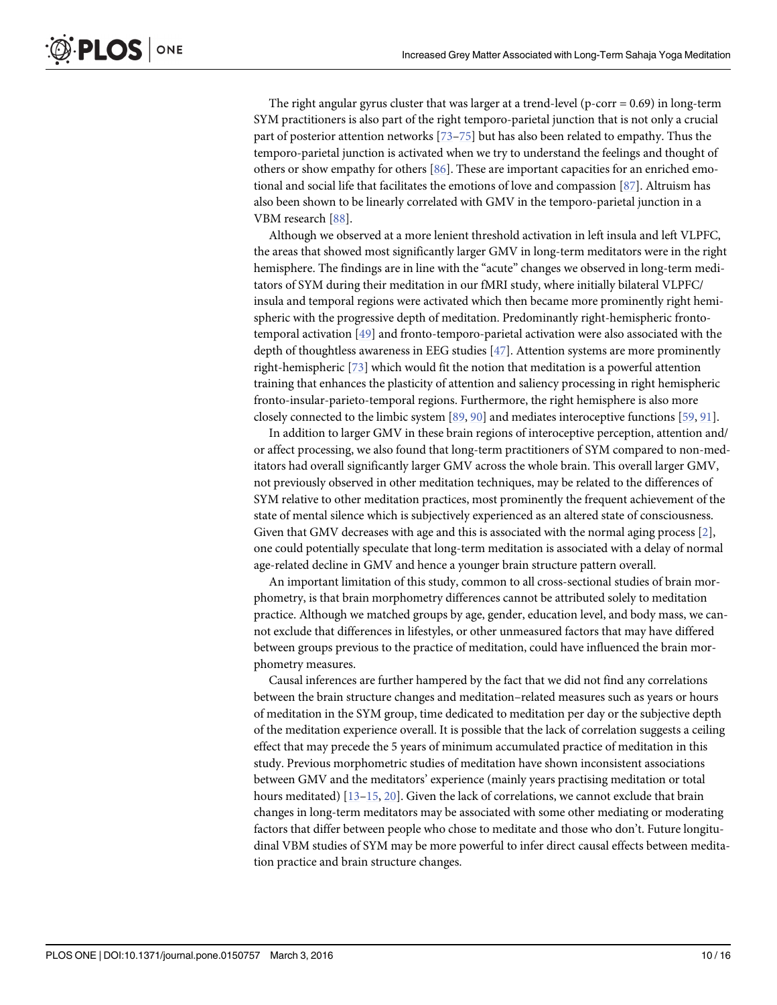<span id="page-9-0"></span>The right angular gyrus cluster that was larger at a trend-level  $(p\text{-corr} = 0.69)$  in long-term SYM practitioners is also part of the right temporo-parietal junction that is not only a crucial part of posterior attention networks [\[73](#page-14-0)–[75\]](#page-14-0) but has also been related to empathy. Thus the temporo-parietal junction is activated when we try to understand the feelings and thought of others or show empathy for others [\[86\]](#page-14-0). These are important capacities for an enriched emotional and social life that facilitates the emotions of love and compassion [\[87](#page-14-0)]. Altruism has also been shown to be linearly correlated with GMV in the temporo-parietal junction in a VBM research [[88](#page-14-0)].

Although we observed at a more lenient threshold activation in left insula and left VLPFC, the areas that showed most significantly larger GMV in long-term meditators were in the right hemisphere. The findings are in line with the "acute" changes we observed in long-term meditators of SYM during their meditation in our fMRI study, where initially bilateral VLPFC/ insula and temporal regions were activated which then became more prominently right hemispheric with the progressive depth of meditation. Predominantly right-hemispheric frontotemporal activation [\[49\]](#page-13-0) and fronto-temporo-parietal activation were also associated with the depth of thoughtless awareness in EEG studies [\[47\]](#page-12-0). Attention systems are more prominently right-hemispheric [\[73\]](#page-14-0) which would fit the notion that meditation is a powerful attention training that enhances the plasticity of attention and saliency processing in right hemispheric fronto-insular-parieto-temporal regions. Furthermore, the right hemisphere is also more closely connected to the limbic system [[89](#page-15-0), [90](#page-15-0)] and mediates interoceptive functions [[59](#page-13-0), [91](#page-15-0)].

In addition to larger GMV in these brain regions of interoceptive perception, attention and/ or affect processing, we also found that long-term practitioners of SYM compared to non-meditators had overall significantly larger GMV across the whole brain. This overall larger GMV, not previously observed in other meditation techniques, may be related to the differences of SYM relative to other meditation practices, most prominently the frequent achievement of the state of mental silence which is subjectively experienced as an altered state of consciousness. Given that GMV decreases with age and this is associated with the normal aging process  $[2]$  $[2]$  $[2]$ , one could potentially speculate that long-term meditation is associated with a delay of normal age-related decline in GMV and hence a younger brain structure pattern overall.

An important limitation of this study, common to all cross-sectional studies of brain morphometry, is that brain morphometry differences cannot be attributed solely to meditation practice. Although we matched groups by age, gender, education level, and body mass, we cannot exclude that differences in lifestyles, or other unmeasured factors that may have differed between groups previous to the practice of meditation, could have influenced the brain morphometry measures.

Causal inferences are further hampered by the fact that we did not find any correlations between the brain structure changes and meditation–related measures such as years or hours of meditation in the SYM group, time dedicated to meditation per day or the subjective depth of the meditation experience overall. It is possible that the lack of correlation suggests a ceiling effect that may precede the 5 years of minimum accumulated practice of meditation in this study. Previous morphometric studies of meditation have shown inconsistent associations between GMV and the meditators' experience (mainly years practising meditation or total hours meditated) [\[13](#page-11-0)–[15](#page-11-0), [20](#page-11-0)]. Given the lack of correlations, we cannot exclude that brain changes in long-term meditators may be associated with some other mediating or moderating factors that differ between people who chose to meditate and those who don't. Future longitudinal VBM studies of SYM may be more powerful to infer direct causal effects between meditation practice and brain structure changes.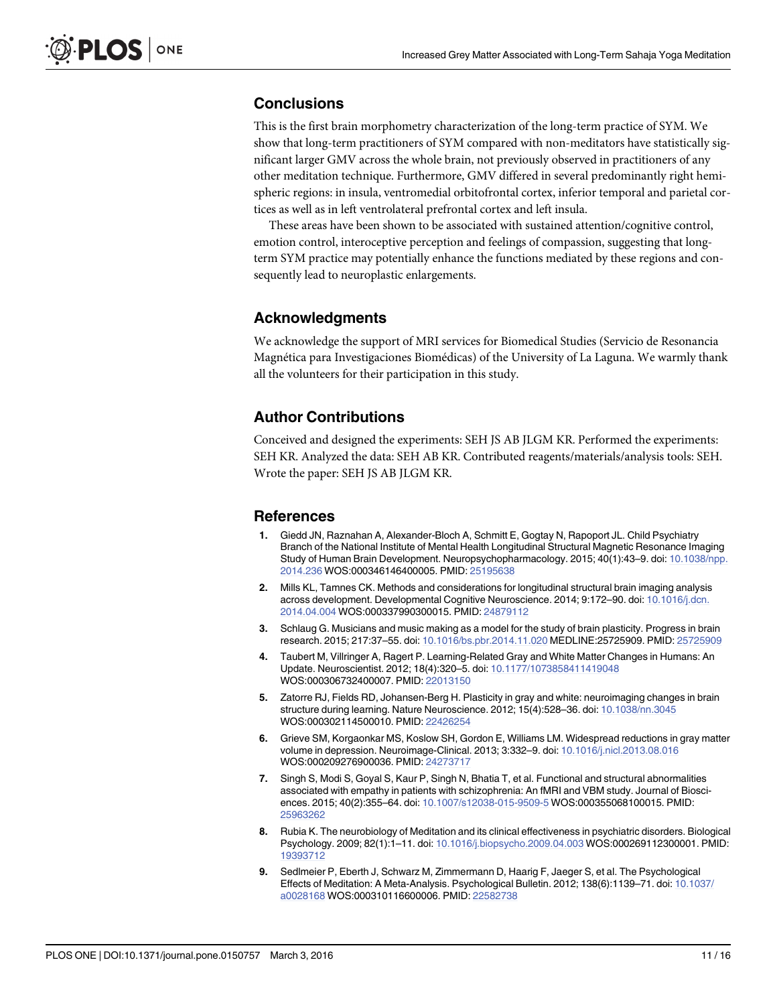#### <span id="page-10-0"></span>**Conclusions**

This is the first brain morphometry characterization of the long-term practice of SYM. We show that long-term practitioners of SYM compared with non-meditators have statistically significant larger GMV across the whole brain, not previously observed in practitioners of any other meditation technique. Furthermore, GMV differed in several predominantly right hemispheric regions: in insula, ventromedial orbitofrontal cortex, inferior temporal and parietal cortices as well as in left ventrolateral prefrontal cortex and left insula.

These areas have been shown to be associated with sustained attention/cognitive control, emotion control, interoceptive perception and feelings of compassion, suggesting that longterm SYM practice may potentially enhance the functions mediated by these regions and consequently lead to neuroplastic enlargements.

#### Acknowledgments

We acknowledge the support of MRI services for Biomedical Studies (Servicio de Resonancia Magnética para Investigaciones Biomédicas) of the University of La Laguna. We warmly thank all the volunteers for their participation in this study.

#### Author Contributions

Conceived and designed the experiments: SEH JS AB JLGM KR. Performed the experiments: SEH KR. Analyzed the data: SEH AB KR. Contributed reagents/materials/analysis tools: SEH. Wrote the paper: SEH JS AB JLGM KR.

#### References

- [1.](#page-1-0) Giedd JN, Raznahan A, Alexander-Bloch A, Schmitt E, Gogtay N, Rapoport JL. Child Psychiatry Branch of the National Institute of Mental Health Longitudinal Structural Magnetic Resonance Imaging Study of Human Brain Development. Neuropsychopharmacology. 2015; 40(1):43–9. doi: [10.1038/npp.](http://dx.doi.org/10.1038/npp.2014.236) [2014.236](http://dx.doi.org/10.1038/npp.2014.236) WOS:000346146400005. PMID: [25195638](http://www.ncbi.nlm.nih.gov/pubmed/25195638)
- [2.](#page-1-0) Mills KL, Tamnes CK. Methods and considerations for longitudinal structural brain imaging analysis across development. Developmental Cognitive Neuroscience. 2014; 9:172–90. doi: [10.1016/j.dcn.](http://dx.doi.org/10.1016/j.dcn.2014.04.004) [2014.04.004](http://dx.doi.org/10.1016/j.dcn.2014.04.004) WOS:000337990300015. PMID: [24879112](http://www.ncbi.nlm.nih.gov/pubmed/24879112)
- [3.](#page-1-0) Schlaug G. Musicians and music making as a model for the study of brain plasticity. Progress in brain research. 2015; 217:37–55. doi: [10.1016/bs.pbr.2014.11.020](http://dx.doi.org/10.1016/bs.pbr.2014.11.020) MEDLINE:25725909. PMID: [25725909](http://www.ncbi.nlm.nih.gov/pubmed/25725909)
- [4.](#page-1-0) Taubert M, Villringer A, Ragert P. Learning-Related Gray and White Matter Changes in Humans: An Update. Neuroscientist. 2012; 18(4):320–5. doi: [10.1177/1073858411419048](http://dx.doi.org/10.1177/1073858411419048) WOS:000306732400007. PMID: [22013150](http://www.ncbi.nlm.nih.gov/pubmed/22013150)
- [5.](#page-1-0) Zatorre RJ, Fields RD, Johansen-Berg H. Plasticity in gray and white: neuroimaging changes in brain structure during learning. Nature Neuroscience. 2012; 15(4):528–36. doi: [10.1038/nn.3045](http://dx.doi.org/10.1038/nn.3045) WOS:000302114500010. PMID: [22426254](http://www.ncbi.nlm.nih.gov/pubmed/22426254)
- [6.](#page-1-0) Grieve SM, Korgaonkar MS, Koslow SH, Gordon E, Williams LM. Widespread reductions in gray matter volume in depression. Neuroimage-Clinical. 2013; 3:332–9. doi: [10.1016/j.nicl.2013.08.016](http://dx.doi.org/10.1016/j.nicl.2013.08.016) WOS:000209276900036. PMID: [24273717](http://www.ncbi.nlm.nih.gov/pubmed/24273717)
- 7. Singh S, Modi S, Goyal S, Kaur P, Singh N, Bhatia T, et al. Functional and structural abnormalities associated with empathy in patients with schizophrenia: An fMRI and VBM study. Journal of Biosciences. 2015; 40(2):355–64. doi: [10.1007/s12038-015-9509-5](http://dx.doi.org/10.1007/s12038-015-9509-5) WOS:000355068100015. PMID: [25963262](http://www.ncbi.nlm.nih.gov/pubmed/25963262)
- [8.](#page-1-0) Rubia K. The neurobiology of Meditation and its clinical effectiveness in psychiatric disorders. Biological Psychology. 2009; 82(1):1–11. doi: [10.1016/j.biopsycho.2009.04.003](http://dx.doi.org/10.1016/j.biopsycho.2009.04.003) WOS:000269112300001. PMID: [19393712](http://www.ncbi.nlm.nih.gov/pubmed/19393712)
- [9.](#page-7-0) Sedlmeier P, Eberth J, Schwarz M, Zimmermann D, Haarig F, Jaeger S, et al. The Psychological Effects of Meditation: A Meta-Analysis. Psychological Bulletin. 2012; 138(6):1139–71. doi: [10.1037/](http://dx.doi.org/10.1037/a0028168) [a0028168](http://dx.doi.org/10.1037/a0028168) WOS:000310116600006. PMID: [22582738](http://www.ncbi.nlm.nih.gov/pubmed/22582738)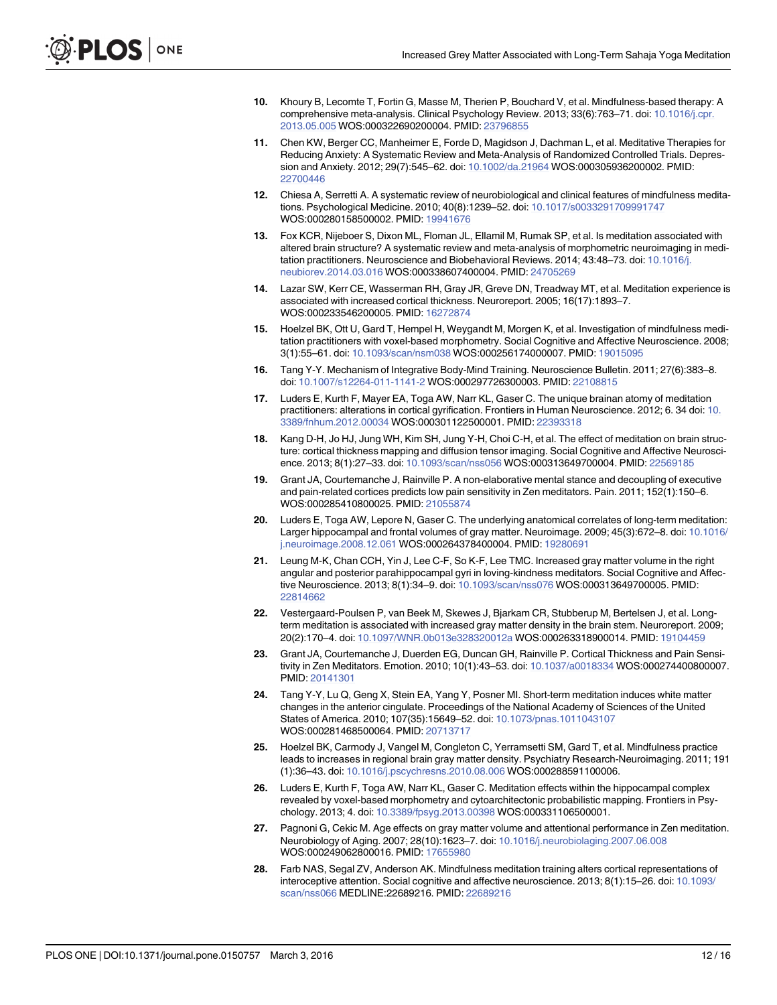- <span id="page-11-0"></span>10. Khoury B, Lecomte T, Fortin G, Masse M, Therien P, Bouchard V, et al. Mindfulness-based therapy: A comprehensive meta-analysis. Clinical Psychology Review. 2013; 33(6):763–71. doi: [10.1016/j.cpr.](http://dx.doi.org/10.1016/j.cpr.2013.05.005) [2013.05.005](http://dx.doi.org/10.1016/j.cpr.2013.05.005) WOS:000322690200004. PMID: [23796855](http://www.ncbi.nlm.nih.gov/pubmed/23796855)
- 11. Chen KW, Berger CC, Manheimer E, Forde D, Magidson J, Dachman L, et al. Meditative Therapies for Reducing Anxiety: A Systematic Review and Meta-Analysis of Randomized Controlled Trials. Depression and Anxiety. 2012; 29(7):545–62. doi: [10.1002/da.21964](http://dx.doi.org/10.1002/da.21964) WOS:000305936200002. PMID: [22700446](http://www.ncbi.nlm.nih.gov/pubmed/22700446)
- [12.](#page-1-0) Chiesa A, Serretti A. A systematic review of neurobiological and clinical features of mindfulness meditations. Psychological Medicine. 2010; 40(8):1239–52. doi: [10.1017/s0033291709991747](http://dx.doi.org/10.1017/s0033291709991747) WOS:000280158500002. PMID: [19941676](http://www.ncbi.nlm.nih.gov/pubmed/19941676)
- [13.](#page-1-0) Fox KCR, Nijeboer S, Dixon ML, Floman JL, Ellamil M, Rumak SP, et al. Is meditation associated with altered brain structure? A systematic review and meta-analysis of morphometric neuroimaging in meditation practitioners. Neuroscience and Biobehavioral Reviews. 2014; 43:48–73. doi: [10.1016/j.](http://dx.doi.org/10.1016/j.neubiorev.2014.03.016) [neubiorev.2014.03.016](http://dx.doi.org/10.1016/j.neubiorev.2014.03.016) WOS:000338607400004. PMID: [24705269](http://www.ncbi.nlm.nih.gov/pubmed/24705269)
- [14.](#page-1-0) Lazar SW, Kerr CE, Wasserman RH, Gray JR, Greve DN, Treadway MT, et al. Meditation experience is associated with increased cortical thickness. Neuroreport. 2005; 16(17):1893–7. WOS:000233546200005. PMID: [16272874](http://www.ncbi.nlm.nih.gov/pubmed/16272874)
- [15.](#page-1-0) Hoelzel BK, Ott U, Gard T, Hempel H, Weygandt M, Morgen K, et al. Investigation of mindfulness meditation practitioners with voxel-based morphometry. Social Cognitive and Affective Neuroscience. 2008; 3(1):55–61. doi: [10.1093/scan/nsm038](http://dx.doi.org/10.1093/scan/nsm038) WOS:000256174000007. PMID: [19015095](http://www.ncbi.nlm.nih.gov/pubmed/19015095)
- 16. Tang Y-Y. Mechanism of Integrative Body-Mind Training. Neuroscience Bulletin. 2011; 27(6):383–8. doi: [10.1007/s12264-011-1141-2](http://dx.doi.org/10.1007/s12264-011-1141-2) WOS:000297726300003. PMID: [22108815](http://www.ncbi.nlm.nih.gov/pubmed/22108815)
- [17.](#page-1-0) Luders E, Kurth F, Mayer EA, Toga AW, Narr KL, Gaser C. The unique brainan atomy of meditation practitioners: alterations in cortical gyrification. Frontiers in Human Neuroscience. 2012; 6. 34 doi: [10.](http://dx.doi.org/10.3389/fnhum.2012.00034) [3389/fnhum.2012.00034](http://dx.doi.org/10.3389/fnhum.2012.00034) WOS:000301122500001. PMID: [22393318](http://www.ncbi.nlm.nih.gov/pubmed/22393318)
- [18.](#page-1-0) Kang D-H, Jo HJ, Jung WH, Kim SH, Jung Y-H, Choi C-H, et al. The effect of meditation on brain structure: cortical thickness mapping and diffusion tensor imaging. Social Cognitive and Affective Neuroscience. 2013; 8(1):27–33. doi: [10.1093/scan/nss056](http://dx.doi.org/10.1093/scan/nss056) WOS:000313649700004. PMID: [22569185](http://www.ncbi.nlm.nih.gov/pubmed/22569185)
- [19.](#page-1-0) Grant JA, Courtemanche J, Rainville P. A non-elaborative mental stance and decoupling of executive and pain-related cortices predicts low pain sensitivity in Zen meditators. Pain. 2011; 152(1):150–6. WOS:000285410800025. PMID: [21055874](http://www.ncbi.nlm.nih.gov/pubmed/21055874)
- [20.](#page-1-0) Luders E, Toga AW, Lepore N, Gaser C. The underlying anatomical correlates of long-term meditation: Larger hippocampal and frontal volumes of gray matter. Neuroimage. 2009; 45(3):672–8. doi: [10.1016/](http://dx.doi.org/10.1016/j.neuroimage.2008.12.061) [j.neuroimage.2008.12.061](http://dx.doi.org/10.1016/j.neuroimage.2008.12.061) WOS:000264378400004. PMID: [19280691](http://www.ncbi.nlm.nih.gov/pubmed/19280691)
- [21.](#page-1-0) Leung M-K, Chan CCH, Yin J, Lee C-F, So K-F, Lee TMC. Increased gray matter volume in the right angular and posterior parahippocampal gyri in loving-kindness meditators. Social Cognitive and Affective Neuroscience. 2013; 8(1):34–9. doi: [10.1093/scan/nss076](http://dx.doi.org/10.1093/scan/nss076) WOS:000313649700005. PMID: [22814662](http://www.ncbi.nlm.nih.gov/pubmed/22814662)
- [22.](#page-1-0) Vestergaard-Poulsen P, van Beek M, Skewes J, Bjarkam CR, Stubberup M, Bertelsen J, et al. Longterm meditation is associated with increased gray matter density in the brain stem. Neuroreport. 2009; 20(2):170–4. doi: [10.1097/WNR.0b013e328320012a](http://dx.doi.org/10.1097/WNR.0b013e328320012a) WOS:000263318900014. PMID: [19104459](http://www.ncbi.nlm.nih.gov/pubmed/19104459)
- [23.](#page-1-0) Grant JA, Courtemanche J, Duerden EG, Duncan GH, Rainville P. Cortical Thickness and Pain Sensitivity in Zen Meditators. Emotion. 2010; 10(1):43–53. doi: [10.1037/a0018334](http://dx.doi.org/10.1037/a0018334) WOS:000274400800007. PMID: [20141301](http://www.ncbi.nlm.nih.gov/pubmed/20141301)
- [24.](#page-1-0) Tang Y-Y, Lu Q, Geng X, Stein EA, Yang Y, Posner MI. Short-term meditation induces white matter changes in the anterior cingulate. Proceedings of the National Academy of Sciences of the United States of America. 2010; 107(35):15649–52. doi: [10.1073/pnas.1011043107](http://dx.doi.org/10.1073/pnas.1011043107) WOS:000281468500064. PMID: [20713717](http://www.ncbi.nlm.nih.gov/pubmed/20713717)
- [25.](#page-1-0) Hoelzel BK, Carmody J, Vangel M, Congleton C, Yerramsetti SM, Gard T, et al. Mindfulness practice leads to increases in regional brain gray matter density. Psychiatry Research-Neuroimaging. 2011; 191 (1):36–43. doi: [10.1016/j.pscychresns.2010.08.006](http://dx.doi.org/10.1016/j.pscychresns.2010.08.006) WOS:000288591100006.
- [26.](#page-1-0) Luders E, Kurth F, Toga AW, Narr KL, Gaser C. Meditation effects within the hippocampal complex revealed by voxel-based morphometry and cytoarchitectonic probabilistic mapping. Frontiers in Psychology. 2013; 4. doi: [10.3389/fpsyg.2013.00398](http://dx.doi.org/10.3389/fpsyg.2013.00398) WOS:000331106500001.
- [27.](#page-1-0) Pagnoni G, Cekic M. Age effects on gray matter volume and attentional performance in Zen meditation. Neurobiology of Aging. 2007; 28(10):1623–7. doi: [10.1016/j.neurobiolaging.2007.06.008](http://dx.doi.org/10.1016/j.neurobiolaging.2007.06.008) WOS:000249062800016. PMID: [17655980](http://www.ncbi.nlm.nih.gov/pubmed/17655980)
- [28.](#page-1-0) Farb NAS, Segal ZV, Anderson AK. Mindfulness meditation training alters cortical representations of interoceptive attention. Social cognitive and affective neuroscience. 2013; 8(1):15–26. doi: [10.1093/](http://dx.doi.org/10.1093/scan/nss066) [scan/nss066](http://dx.doi.org/10.1093/scan/nss066) MEDLINE:22689216. PMID: [22689216](http://www.ncbi.nlm.nih.gov/pubmed/22689216)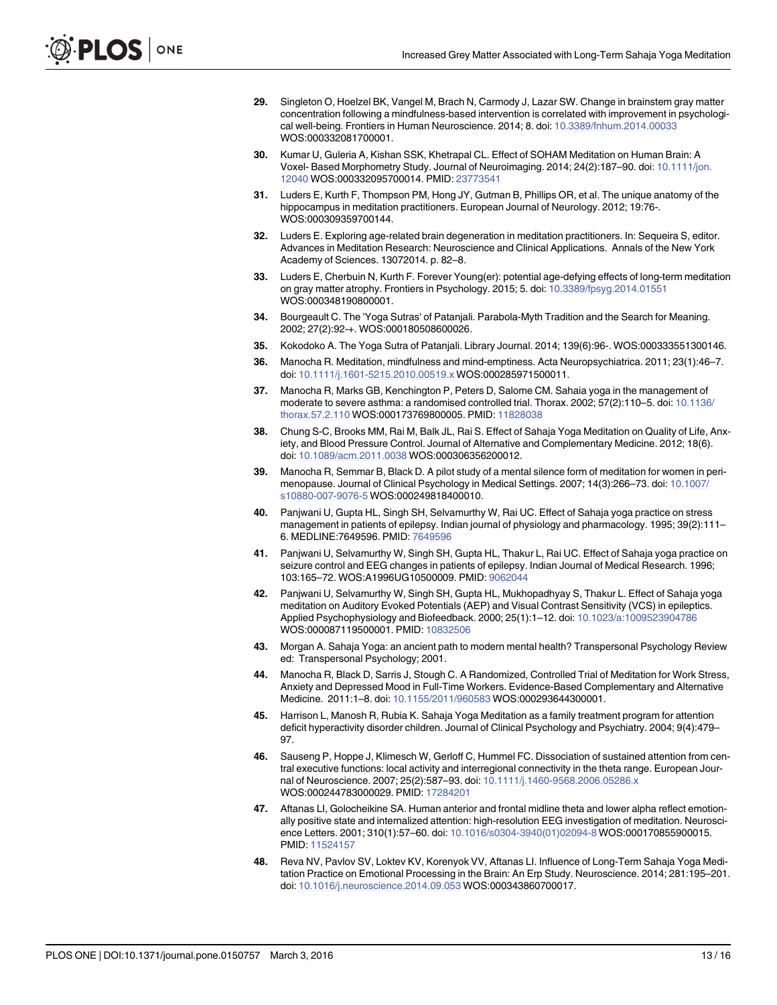- <span id="page-12-0"></span>[29.](#page-1-0) Singleton O, Hoelzel BK, Vangel M, Brach N, Carmody J, Lazar SW. Change in brainstem gray matter concentration following a mindfulness-based intervention is correlated with improvement in psychological well-being. Frontiers in Human Neuroscience. 2014; 8. doi: [10.3389/fnhum.2014.00033](http://dx.doi.org/10.3389/fnhum.2014.00033) WOS:000332081700001.
- [30.](#page-1-0) Kumar U, Guleria A, Kishan SSK, Khetrapal CL. Effect of SOHAM Meditation on Human Brain: A Voxel- Based Morphometry Study. Journal of Neuroimaging. 2014; 24(2):187-90. doi: [10.1111/jon.](http://dx.doi.org/10.1111/jon.12040) [12040](http://dx.doi.org/10.1111/jon.12040) WOS:000332095700014. PMID: [23773541](http://www.ncbi.nlm.nih.gov/pubmed/23773541)
- [31.](#page-1-0) Luders E, Kurth F, Thompson PM, Hong JY, Gutman B, Phillips OR, et al. The unique anatomy of the hippocampus in meditation practitioners. European Journal of Neurology. 2012; 19:76-. WOS:000309359700144.
- 32. Luders E. Exploring age-related brain degeneration in meditation practitioners. In: Sequeira S, editor. Advances in Meditation Research: Neuroscience and Clinical Applications. Annals of the New York Academy of Sciences. 13072014. p. 82–8.
- [33.](#page-1-0) Luders E, Cherbuin N, Kurth F. Forever Young(er): potential age-defying effects of long-term meditation on gray matter atrophy. Frontiers in Psychology. 2015; 5. doi: [10.3389/fpsyg.2014.01551](http://dx.doi.org/10.3389/fpsyg.2014.01551) WOS:000348190800001.
- [34.](#page-1-0) Bourgeault C. The 'Yoga Sutras' of Patanjali. Parabola-Myth Tradition and the Search for Meaning. 2002; 27(2):92-+. WOS:000180508600026.
- [35.](#page-1-0) Kokodoko A. The Yoga Sutra of Patanjali. Library Journal. 2014; 139(6):96-. WOS:000333551300146.
- [36.](#page-1-0) Manocha R. Meditation, mindfulness and mind-emptiness. Acta Neuropsychiatrica. 2011; 23(1):46–7. doi: [10.1111/j.1601-5215.2010.00519.x](http://dx.doi.org/10.1111/j.1601-5215.2010.00519.x) WOS:000285971500011.
- [37.](#page-2-0) Manocha R, Marks GB, Kenchington P, Peters D, Salome CM. Sahaia yoga in the management of moderate to severe asthma: a randomised controlled trial. Thorax. 2002; 57(2):110–5. doi: [10.1136/](http://dx.doi.org/10.1136/thorax.57.2.110) [thorax.57.2.110](http://dx.doi.org/10.1136/thorax.57.2.110) WOS:000173769800005. PMID: [11828038](http://www.ncbi.nlm.nih.gov/pubmed/11828038)
- [38.](#page-2-0) Chung S-C, Brooks MM, Rai M, Balk JL, Rai S. Effect of Sahaja Yoga Meditation on Quality of Life, Anxiety, and Blood Pressure Control. Journal of Alternative and Complementary Medicine. 2012; 18(6). doi: [10.1089/acm.2011.0038](http://dx.doi.org/10.1089/acm.2011.0038) WOS:000306356200012.
- [39.](#page-2-0) Manocha R, Semmar B, Black D. A pilot study of a mental silence form of meditation for women in perimenopause. Journal of Clinical Psychology in Medical Settings. 2007; 14(3):266–73. doi: [10.1007/](http://dx.doi.org/10.1007/s10880-007-9076-5) [s10880-007-9076-5](http://dx.doi.org/10.1007/s10880-007-9076-5) WOS:000249818400010.
- [40.](#page-2-0) Panjwani U, Gupta HL, Singh SH, Selvamurthy W, Rai UC. Effect of Sahaja yoga practice on stress management in patients of epilepsy. Indian journal of physiology and pharmacology. 1995; 39(2):111– 6. MEDLINE:7649596. PMID: [7649596](http://www.ncbi.nlm.nih.gov/pubmed/7649596)
- 41. Panjwani U, Selvamurthy W, Singh SH, Gupta HL, Thakur L, Rai UC. Effect of Sahaja yoga practice on seizure control and EEG changes in patients of epilepsy. Indian Journal of Medical Research. 1996; 103:165–72. WOS:A1996UG10500009. PMID: [9062044](http://www.ncbi.nlm.nih.gov/pubmed/9062044)
- [42.](#page-2-0) Panjwani U, Selvamurthy W, Singh SH, Gupta HL, Mukhopadhyay S, Thakur L. Effect of Sahaja yoga meditation on Auditory Evoked Potentials (AEP) and Visual Contrast Sensitivity (VCS) in epileptics. Applied Psychophysiology and Biofeedback. 2000; 25(1):1–12. doi: [10.1023/a:1009523904786](http://dx.doi.org/10.1023/a:1009523904786) WOS:000087119500001. PMID: [10832506](http://www.ncbi.nlm.nih.gov/pubmed/10832506)
- [43.](#page-2-0) Morgan A. Sahaja Yoga: an ancient path to modern mental health? Transpersonal Psychology Review ed: Transpersonal Psychology; 2001.
- [44.](#page-2-0) Manocha R, Black D, Sarris J, Stough C. A Randomized, Controlled Trial of Meditation for Work Stress, Anxiety and Depressed Mood in Full-Time Workers. Evidence-Based Complementary and Alternative Medicine. 2011:1–8. doi: [10.1155/2011/960583](http://dx.doi.org/10.1155/2011/960583) WOS:000293644300001.
- [45.](#page-2-0) Harrison L, Manosh R, Rubia K. Sahaja Yoga Meditation as a family treatment program for attention deficit hyperactivity disorder children. Journal of Clinical Psychology and Psychiatry. 2004; 9(4):479– 97.
- [46.](#page-2-0) Sauseng P, Hoppe J, Klimesch W, Gerloff C, Hummel FC. Dissociation of sustained attention from central executive functions: local activity and interregional connectivity in the theta range. European Journal of Neuroscience. 2007; 25(2):587–93. doi: [10.1111/j.1460-9568.2006.05286.x](http://dx.doi.org/10.1111/j.1460-9568.2006.05286.x) WOS:000244783000029. PMID: [17284201](http://www.ncbi.nlm.nih.gov/pubmed/17284201)
- [47.](#page-2-0) Aftanas LI, Golocheikine SA. Human anterior and frontal midline theta and lower alpha reflect emotionally positive state and internalized attention: high-resolution EEG investigation of meditation. Neuroscience Letters. 2001; 310(1):57–60. doi: [10.1016/s0304-3940\(01\)02094-8](http://dx.doi.org/10.1016/s0304-3940(01)02094-8) WOS:000170855900015. PMID: [11524157](http://www.ncbi.nlm.nih.gov/pubmed/11524157)
- [48.](#page-2-0) Reva NV, Pavlov SV, Loktev KV, Korenyok VV, Aftanas LI. Influence of Long-Term Sahaja Yoga Meditation Practice on Emotional Processing in the Brain: An Erp Study. Neuroscience. 2014; 281:195–201. doi: [10.1016/j.neuroscience.2014.09.053](http://dx.doi.org/10.1016/j.neuroscience.2014.09.053) WOS:000343860700017.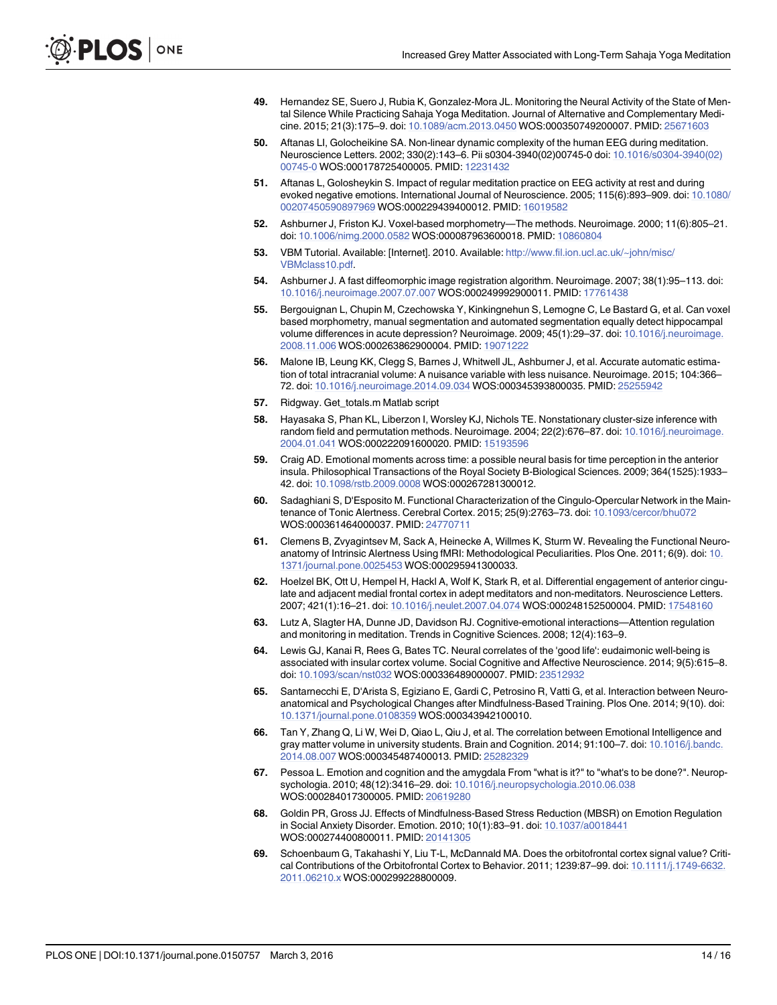- <span id="page-13-0"></span>[49.](#page-2-0) Hernandez SE, Suero J, Rubia K, Gonzalez-Mora JL. Monitoring the Neural Activity of the State of Mental Silence While Practicing Sahaja Yoga Meditation. Journal of Alternative and Complementary Medicine. 2015; 21(3):175–9. doi: [10.1089/acm.2013.0450](http://dx.doi.org/10.1089/acm.2013.0450) WOS:000350749200007. PMID: [25671603](http://www.ncbi.nlm.nih.gov/pubmed/25671603)
- [50.](#page-2-0) Aftanas LI, Golocheikine SA. Non-linear dynamic complexity of the human EEG during meditation. Neuroscience Letters. 2002; 330(2):143–6. Pii s0304-3940(02)00745-0 doi: [10.1016/s0304-3940\(02\)](http://dx.doi.org/10.1016/s0304-3940(02)00745-0) [00745-0](http://dx.doi.org/10.1016/s0304-3940(02)00745-0) WOS:000178725400005. PMID: [12231432](http://www.ncbi.nlm.nih.gov/pubmed/12231432)
- [51.](#page-2-0) Aftanas L, Golosheykin S. Impact of regular meditation practice on EEG activity at rest and during evoked negative emotions. International Journal of Neuroscience. 2005; 115(6):893–909. doi: [10.1080/](http://dx.doi.org/10.1080/00207450590897969) [00207450590897969](http://dx.doi.org/10.1080/00207450590897969) WOS:000229439400012. PMID: [16019582](http://www.ncbi.nlm.nih.gov/pubmed/16019582)
- [52.](#page-3-0) Ashburner J, Friston KJ. Voxel-based morphometry—The methods. Neuroimage. 2000; 11(6):805–21. doi: [10.1006/nimg.2000.0582](http://dx.doi.org/10.1006/nimg.2000.0582) WOS:000087963600018. PMID: [10860804](http://www.ncbi.nlm.nih.gov/pubmed/10860804)
- [53.](#page-4-0) VBM Tutorial. Available: [Internet]. 2010. Available: [http://www.fil.ion.ucl.ac.uk/~john/misc/](http://www.fil.ion.ucl.ac.uk/~john/misc/VBMclass10.pdf) [VBMclass10.pdf](http://www.fil.ion.ucl.ac.uk/~john/misc/VBMclass10.pdf).
- [54.](#page-4-0) Ashburner J. A fast diffeomorphic image registration algorithm. Neuroimage. 2007; 38(1):95–113. doi: [10.1016/j.neuroimage.2007.07.007](http://dx.doi.org/10.1016/j.neuroimage.2007.07.007) WOS:000249992900011. PMID: [17761438](http://www.ncbi.nlm.nih.gov/pubmed/17761438)
- [55.](#page-4-0) Bergouignan L, Chupin M, Czechowska Y, Kinkingnehun S, Lemogne C, Le Bastard G, et al. Can voxel based morphometry, manual segmentation and automated segmentation equally detect hippocampal volume differences in acute depression? Neuroimage. 2009; 45(1):29–37. doi: [10.1016/j.neuroimage.](http://dx.doi.org/10.1016/j.neuroimage.2008.11.006) [2008.11.006](http://dx.doi.org/10.1016/j.neuroimage.2008.11.006) WOS:000263862900004. PMID: [19071222](http://www.ncbi.nlm.nih.gov/pubmed/19071222)
- [56.](#page-4-0) Malone IB, Leung KK, Clegg S, Barnes J, Whitwell JL, Ashburner J, et al. Accurate automatic estimation of total intracranial volume: A nuisance variable with less nuisance. Neuroimage. 2015; 104:366– 72. doi: [10.1016/j.neuroimage.2014.09.034](http://dx.doi.org/10.1016/j.neuroimage.2014.09.034) WOS:000345393800035. PMID: [25255942](http://www.ncbi.nlm.nih.gov/pubmed/25255942)
- [57.](#page-4-0) Ridgway. Get\_totals.m Matlab script
- [58.](#page-4-0) Hayasaka S, Phan KL, Liberzon I, Worsley KJ, Nichols TE. Nonstationary cluster-size inference with random field and permutation methods. Neuroimage. 2004; 22(2):676–87. doi: [10.1016/j.neuroimage.](http://dx.doi.org/10.1016/j.neuroimage.2004.01.041) [2004.01.041](http://dx.doi.org/10.1016/j.neuroimage.2004.01.041) WOS:000222091600020. PMID: [15193596](http://www.ncbi.nlm.nih.gov/pubmed/15193596)
- [59.](#page-7-0) Craig AD. Emotional moments across time: a possible neural basis for time perception in the anterior insula. Philosophical Transactions of the Royal Society B-Biological Sciences. 2009; 364(1525):1933– 42. doi: [10.1098/rstb.2009.0008](http://dx.doi.org/10.1098/rstb.2009.0008) WOS:000267281300012.
- [60.](#page-7-0) Sadaghiani S, D'Esposito M. Functional Characterization of the Cingulo-Opercular Network in the Maintenance of Tonic Alertness. Cerebral Cortex. 2015; 25(9):2763–73. doi: [10.1093/cercor/bhu072](http://dx.doi.org/10.1093/cercor/bhu072) WOS:000361464000037. PMID: [24770711](http://www.ncbi.nlm.nih.gov/pubmed/24770711)
- [61.](#page-7-0) Clemens B, Zvyagintsev M, Sack A, Heinecke A, Willmes K, Sturm W. Revealing the Functional Neuroanatomy of Intrinsic Alertness Using fMRI: Methodological Peculiarities. Plos One. 2011; 6(9). doi: [10.](http://dx.doi.org/10.1371/journal.pone.0025453) [1371/journal.pone.0025453](http://dx.doi.org/10.1371/journal.pone.0025453) WOS:000295941300033.
- [62.](#page-7-0) Hoelzel BK, Ott U, Hempel H, Hackl A, Wolf K, Stark R, et al. Differential engagement of anterior cingulate and adjacent medial frontal cortex in adept meditators and non-meditators. Neuroscience Letters. 2007; 421(1):16–21. doi: [10.1016/j.neulet.2007.04.074](http://dx.doi.org/10.1016/j.neulet.2007.04.074) WOS:000248152500004. PMID: [17548160](http://www.ncbi.nlm.nih.gov/pubmed/17548160)
- [63.](#page-7-0) Lutz A, Slagter HA, Dunne JD, Davidson RJ. Cognitive-emotional interactions—Attention regulation and monitoring in meditation. Trends in Cognitive Sciences. 2008; 12(4):163–9.
- [64.](#page-7-0) Lewis GJ, Kanai R, Rees G, Bates TC. Neural correlates of the 'good life': eudaimonic well-being is associated with insular cortex volume. Social Cognitive and Affective Neuroscience. 2014; 9(5):615–8. doi: [10.1093/scan/nst032](http://dx.doi.org/10.1093/scan/nst032) WOS:000336489000007. PMID: [23512932](http://www.ncbi.nlm.nih.gov/pubmed/23512932)
- [65.](#page-7-0) Santarnecchi E, D'Arista S, Egiziano E, Gardi C, Petrosino R, Vatti G, et al. Interaction between Neuroanatomical and Psychological Changes after Mindfulness-Based Training. Plos One. 2014; 9(10). doi: [10.1371/journal.pone.0108359](http://dx.doi.org/10.1371/journal.pone.0108359) WOS:000343942100010.
- [66.](#page-7-0) Tan Y, Zhang Q, Li W, Wei D, Qiao L, Qiu J, et al. The correlation between Emotional Intelligence and gray matter volume in university students. Brain and Cognition. 2014; 91:100-7. doi: [10.1016/j.bandc.](http://dx.doi.org/10.1016/j.bandc.2014.08.007) [2014.08.007](http://dx.doi.org/10.1016/j.bandc.2014.08.007) WOS:000345487400013. PMID: [25282329](http://www.ncbi.nlm.nih.gov/pubmed/25282329)
- [67.](#page-7-0) Pessoa L. Emotion and cognition and the amygdala From "what is it?" to "what's to be done?". Neuropsychologia. 2010; 48(12):3416–29. doi: [10.1016/j.neuropsychologia.2010.06.038](http://dx.doi.org/10.1016/j.neuropsychologia.2010.06.038) WOS:000284017300005. PMID: [20619280](http://www.ncbi.nlm.nih.gov/pubmed/20619280)
- [68.](#page-7-0) Goldin PR, Gross JJ. Effects of Mindfulness-Based Stress Reduction (MBSR) on Emotion Regulation in Social Anxiety Disorder. Emotion. 2010; 10(1):83–91. doi: [10.1037/a0018441](http://dx.doi.org/10.1037/a0018441) WOS:000274400800011. PMID: [20141305](http://www.ncbi.nlm.nih.gov/pubmed/20141305)
- [69.](#page-7-0) Schoenbaum G, Takahashi Y, Liu T-L, McDannald MA. Does the orbitofrontal cortex signal value? Critical Contributions of the Orbitofrontal Cortex to Behavior. 2011; 1239:87–99. doi: [10.1111/j.1749-6632.](http://dx.doi.org/10.1111/j.1749-6632.2011.06210.x) [2011.06210.x](http://dx.doi.org/10.1111/j.1749-6632.2011.06210.x) WOS:000299228800009.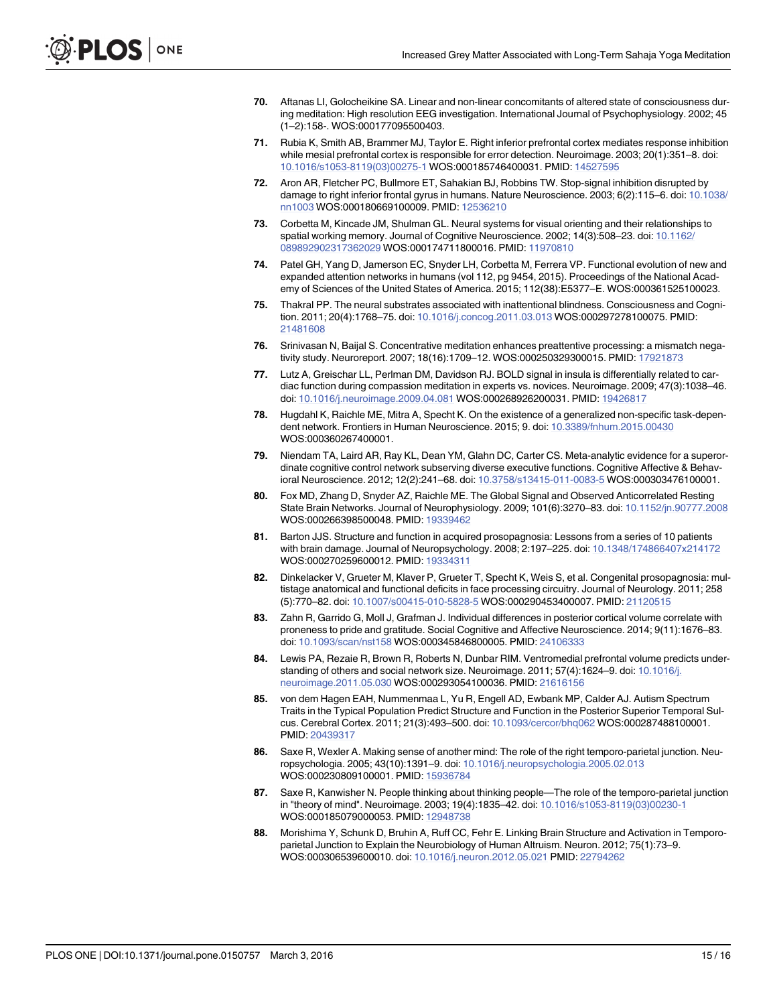- <span id="page-14-0"></span>[70.](#page-8-0) Aftanas LI, Golocheikine SA. Linear and non-linear concomitants of altered state of consciousness during meditation: High resolution EEG investigation. International Journal of Psychophysiology. 2002; 45 (1–2):158-. WOS:000177095500403.
- [71.](#page-8-0) Rubia K, Smith AB, Brammer MJ, Taylor E. Right inferior prefrontal cortex mediates response inhibition while mesial prefrontal cortex is responsible for error detection. Neuroimage. 2003; 20(1):351–8. doi: [10.1016/s1053-8119\(03\)00275-1](http://dx.doi.org/10.1016/s1053-8119(03)00275-1) WOS:000185746400031. PMID: [14527595](http://www.ncbi.nlm.nih.gov/pubmed/14527595)
- [72.](#page-8-0) Aron AR, Fletcher PC, Bullmore ET, Sahakian BJ, Robbins TW. Stop-signal inhibition disrupted by damage to right inferior frontal gyrus in humans. Nature Neuroscience. 2003; 6(2):115–6. doi: [10.1038/](http://dx.doi.org/10.1038/nn1003) [nn1003](http://dx.doi.org/10.1038/nn1003) WOS:000180669100009. PMID: [12536210](http://www.ncbi.nlm.nih.gov/pubmed/12536210)
- [73.](#page-8-0) Corbetta M, Kincade JM, Shulman GL. Neural systems for visual orienting and their relationships to spatial working memory. Journal of Cognitive Neuroscience. 2002; 14(3):508–23. doi: [10.1162/](http://dx.doi.org/10.1162/089892902317362029) [089892902317362029](http://dx.doi.org/10.1162/089892902317362029) WOS:000174711800016. PMID: [11970810](http://www.ncbi.nlm.nih.gov/pubmed/11970810)
- 74. Patel GH, Yang D, Jamerson EC, Snyder LH, Corbetta M, Ferrera VP. Functional evolution of new and expanded attention networks in humans (vol 112, pg 9454, 2015). Proceedings of the National Academy of Sciences of the United States of America. 2015; 112(38):E5377–E. WOS:000361525100023.
- [75.](#page-8-0) Thakral PP. The neural substrates associated with inattentional blindness. Consciousness and Cognition. 2011; 20(4):1768–75. doi: [10.1016/j.concog.2011.03.013](http://dx.doi.org/10.1016/j.concog.2011.03.013) WOS:000297278100075. PMID: [21481608](http://www.ncbi.nlm.nih.gov/pubmed/21481608)
- [76.](#page-8-0) Srinivasan N, Baijal S. Concentrative meditation enhances preattentive processing: a mismatch negativity study. Neuroreport. 2007; 18(16):1709–12. WOS:000250329300015. PMID: [17921873](http://www.ncbi.nlm.nih.gov/pubmed/17921873)
- [77.](#page-8-0) Lutz A, Greischar LL, Perlman DM, Davidson RJ. BOLD signal in insula is differentially related to cardiac function during compassion meditation in experts vs. novices. Neuroimage. 2009; 47(3):1038–46. doi: [10.1016/j.neuroimage.2009.04.081](http://dx.doi.org/10.1016/j.neuroimage.2009.04.081) WOS:000268926200031. PMID: [19426817](http://www.ncbi.nlm.nih.gov/pubmed/19426817)
- [78.](#page-8-0) Hugdahl K, Raichle ME, Mitra A, Specht K. On the existence of a generalized non-specific task-dependent network. Frontiers in Human Neuroscience. 2015; 9. doi: [10.3389/fnhum.2015.00430](http://dx.doi.org/10.3389/fnhum.2015.00430) WOS:000360267400001.
- 79. Niendam TA, Laird AR, Ray KL, Dean YM, Glahn DC, Carter CS. Meta-analytic evidence for a superordinate cognitive control network subserving diverse executive functions. Cognitive Affective & Behavioral Neuroscience. 2012; 12(2):241–68. doi: [10.3758/s13415-011-0083-5](http://dx.doi.org/10.3758/s13415-011-0083-5) WOS:000303476100001.
- [80.](#page-8-0) Fox MD, Zhang D, Snyder AZ, Raichle ME. The Global Signal and Observed Anticorrelated Resting State Brain Networks. Journal of Neurophysiology. 2009; 101(6):3270–83. doi: [10.1152/jn.90777.2008](http://dx.doi.org/10.1152/jn.90777.2008) WOS:000266398500048. PMID: [19339462](http://www.ncbi.nlm.nih.gov/pubmed/19339462)
- [81.](#page-8-0) Barton JJS. Structure and function in acquired prosopagnosia: Lessons from a series of 10 patients with brain damage. Journal of Neuropsychology. 2008; 2:197–225. doi: [10.1348/174866407x214172](http://dx.doi.org/10.1348/174866407x214172) WOS:000270259600012. PMID: [19334311](http://www.ncbi.nlm.nih.gov/pubmed/19334311)
- [82.](#page-8-0) Dinkelacker V, Grueter M, Klaver P, Grueter T, Specht K, Weis S, et al. Congenital prosopagnosia: multistage anatomical and functional deficits in face processing circuitry. Journal of Neurology. 2011; 258 (5):770–82. doi: [10.1007/s00415-010-5828-5](http://dx.doi.org/10.1007/s00415-010-5828-5) WOS:000290453400007. PMID: [21120515](http://www.ncbi.nlm.nih.gov/pubmed/21120515)
- [83.](#page-8-0) Zahn R, Garrido G, Moll J, Grafman J. Individual differences in posterior cortical volume correlate with proneness to pride and gratitude. Social Cognitive and Affective Neuroscience. 2014; 9(11):1676–83. doi: [10.1093/scan/nst158](http://dx.doi.org/10.1093/scan/nst158) WOS:000345846800005. PMID: [24106333](http://www.ncbi.nlm.nih.gov/pubmed/24106333)
- [84.](#page-8-0) Lewis PA, Rezaie R, Brown R, Roberts N, Dunbar RIM. Ventromedial prefrontal volume predicts under-standing of others and social network size. Neuroimage. 2011; 57(4):1624-9. doi: [10.1016/j.](http://dx.doi.org/10.1016/j.neuroimage.2011.05.030) [neuroimage.2011.05.030](http://dx.doi.org/10.1016/j.neuroimage.2011.05.030) WOS:000293054100036. PMID: [21616156](http://www.ncbi.nlm.nih.gov/pubmed/21616156)
- [85.](#page-8-0) von dem Hagen EAH, Nummenmaa L, Yu R, Engell AD, Ewbank MP, Calder AJ. Autism Spectrum Traits in the Typical Population Predict Structure and Function in the Posterior Superior Temporal Sulcus. Cerebral Cortex. 2011; 21(3):493–500. doi: [10.1093/cercor/bhq062](http://dx.doi.org/10.1093/cercor/bhq062) WOS:000287488100001. PMID: [20439317](http://www.ncbi.nlm.nih.gov/pubmed/20439317)
- [86.](#page-9-0) Saxe R, Wexler A. Making sense of another mind: The role of the right temporo-parietal junction. Neuropsychologia. 2005; 43(10):1391–9. doi: [10.1016/j.neuropsychologia.2005.02.013](http://dx.doi.org/10.1016/j.neuropsychologia.2005.02.013) WOS:000230809100001. PMID: [15936784](http://www.ncbi.nlm.nih.gov/pubmed/15936784)
- [87.](#page-9-0) Saxe R, Kanwisher N. People thinking about thinking people—The role of the temporo-parietal junction in "theory of mind". Neuroimage. 2003; 19(4):1835–42. doi: [10.1016/s1053-8119\(03\)00230-1](http://dx.doi.org/10.1016/s1053-8119(03)00230-1) WOS:000185079000053. PMID: [12948738](http://www.ncbi.nlm.nih.gov/pubmed/12948738)
- [88.](#page-9-0) Morishima Y, Schunk D, Bruhin A, Ruff CC, Fehr E. Linking Brain Structure and Activation in Temporoparietal Junction to Explain the Neurobiology of Human Altruism. Neuron. 2012; 75(1):73–9. WOS:000306539600010. doi: [10.1016/j.neuron.2012.05.021](http://dx.doi.org/10.1016/j.neuron.2012.05.021) PMID: [22794262](http://www.ncbi.nlm.nih.gov/pubmed/22794262)